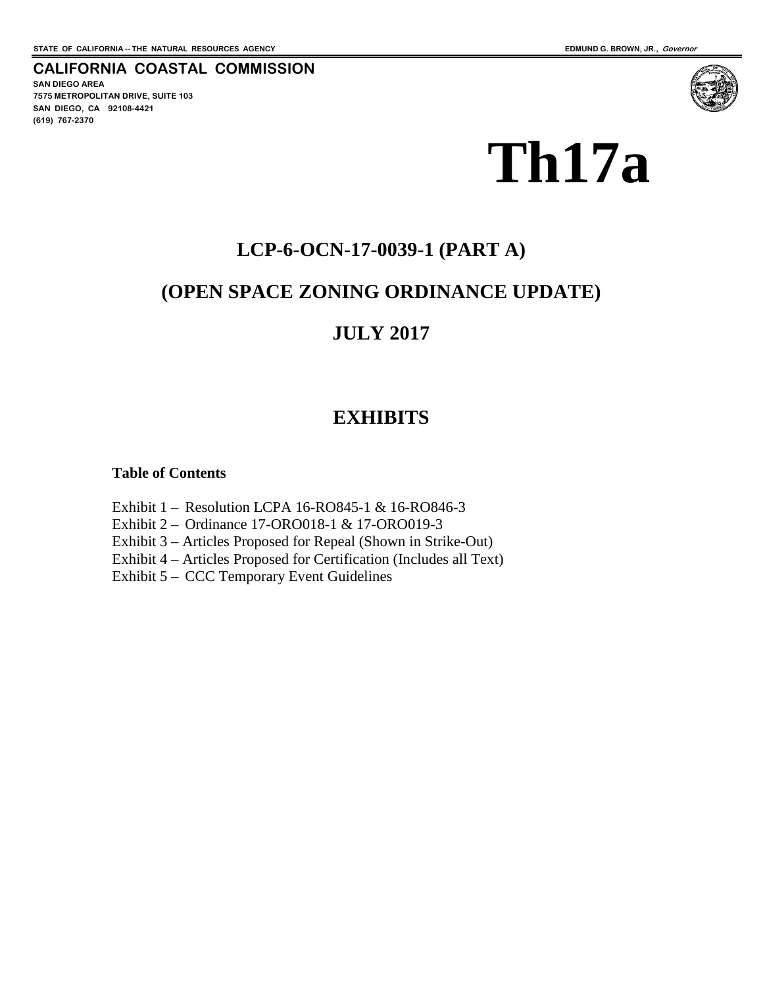**SAN DIEGO AREA**

**(619) 767-2370**

**7575 METROPOLITAN DRIVE, SUITE 103 SAN DIEGO, CA 92108-4421**

**CALIFORNIA COASTAL COMMISSION**

# **Th17a**

## **LCP-6-OCN-17-0039-1 (PART A)**

## **(OPEN SPACE ZONING ORDINANCE UPDATE)**

## **JULY 2017**

## **EXHIBITS**

#### **Table of Contents**

Exhibit 1 – Resolution LCPA 16-RO845-1 & 16-RO846-3

Exhibit 2 – Ordinance 17-ORO018-1 & 17-ORO019-3

Exhibit 3 – Articles Proposed for Repeal (Shown in Strike-Out)

Exhibit 4 – Articles Proposed for Certification (Includes all Text)

Exhibit 5 – CCC Temporary Event Guidelines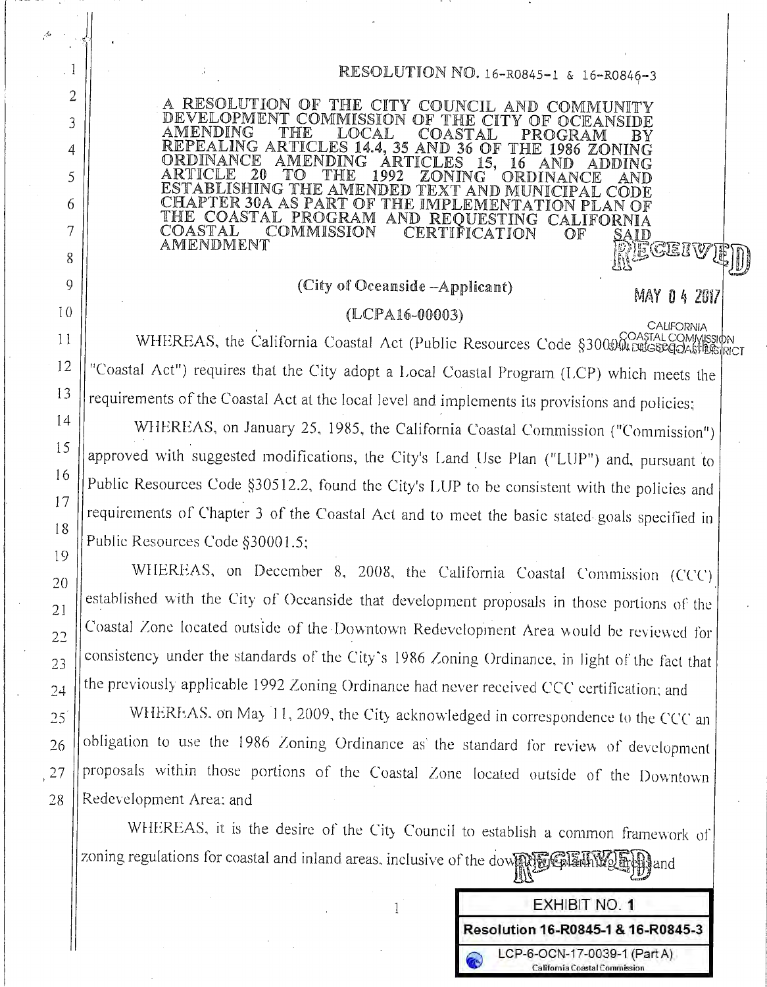## RESOLUTION NO. 16-R0845-1 & 16-R0846-3

MAY 04 2017

**CALIFORNIA** 

RESOLUTION OF THE CITY COUNCIL AND COMMUNITY DEVELOPMENT COMMISSION OF THE CITY OF OCEANSIDE AMENDING  $\operatorname{THE}$ LOCAL COASTAL PROGRAM ΒV REPEALING ARTICLES 14.4, 35 AND 36 OF THE 1986 ZONING ORDINANCE **AMENDING** ÁRTICLES 15. 16 AND ADDING ARTICLE 20 1992 TO THE ZONING ORDINANCE ND ESTABLISHING THE AMENDED TEXT AND MUNICIPAL CODE CHAPTER 30A AS PART OF THE IMPLEMENTATION PLAN OF THE COASTAL PROGRAM AND REQUESTING CALIFORNIA COASTAL COMMISSION CERTIFICATION OF AMENDMENT CEIV

## (City of Oceanside -Applicant)

#### $(LOPA16-00003)$

WHEREAS, the California Coastal Act (Public Resources Code §3000 COASTALCOMMISSION "Coastal Act") requires that the City adopt a Local Coastal Program (LCP) which meets the requirements of the Coastal Act at the local level and implements its provisions and policies;

WHEREAS, on January 25, 1985, the California Coastal Commission ("Commission") approved with suggested modifications, the City's Land Use Plan ("LUP") and, pursuant to Public Resources Code §30512.2, found the City's LUP to be consistent with the policies and requirements of Chapter 3 of the Coastal Act and to meet the basic stated goals specified in Public Resources Code §30001.5:

WHEREAS, on December 8, 2008, the California Coastal Commission (CCC) established with the City of Oceanside that development proposals in those portions of the Coastal Zone located outside of the Downtown Redevelopment Area would be reviewed for consistency under the standards of the City's 1986 Zoning Ordinance, in light of the fact that the previously applicable 1992 Zoning Ordinance had never received CCC certification; and

WHEREAS, on May 11, 2009, the City acknowledged in correspondence to the CCC an obligation to use the 1986 Zoning Ordinance as the standard for review of development proposals within those portions of the Coastal Zone located outside of the Downtown Redevelopment Area; and

WHEREAS, it is the desire of the City Council to establish a common framework of zoning regulations for coastal and inland areas. inclusive of the dower reds and the and



 $\mathbf{1}$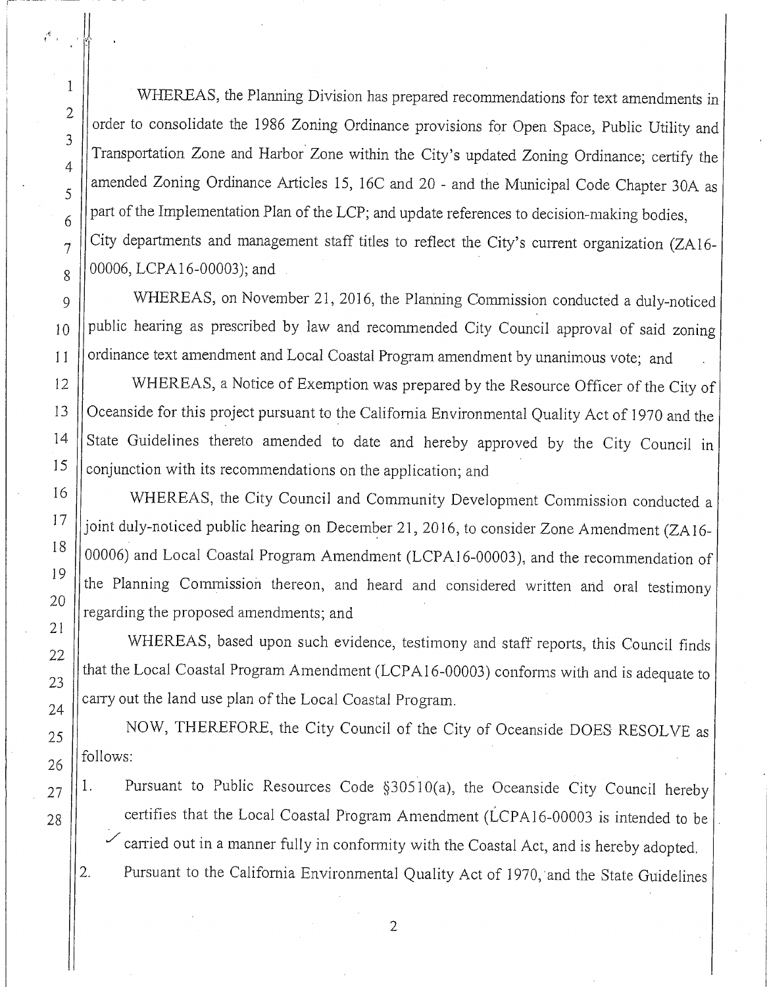WHEREAS, the Planning Division has prepared recommendations for text amendments in order to consolidate the 1986 Zoning Ordinance provisions for Open Space, Public Utility and Transportation Zone and Harbor Zone within the City's updated Zoning Ordinance; certify the amended Zoning Ordinance Articles 15, 16C and 20 - and the Municipal Code Chapter 30A as part of the Implementation Plan of the LCP; and update references to decision-making bodies, City departments and management staff titles to reflect the City's current organization (ZA16-00006, LCPA16-00003); and

WHEREAS, on November 21, 2016, the Planning Commission conducted a duly-noticed public hearing as prescribed by law and recommended City Council approval of said zoning ordinance text amendment and Local Coastal Program amendment by unanimous vote; and

WHEREAS, a Notice of Exemption was prepared by the Resource Officer of the City of Oceanside for this project pursuant to the California Environmental Quality Act of 1970 and the State Guidelines thereto amended to date and hereby approved by the City Council in conjunction with its recommendations on the application; and

WHEREAS, the City Council and Community Development Commission conducted a joint duly-noticed public hearing on December 21, 2016, to consider Zone Amendment (ZA16-00006) and Local Coastal Program Amendment (LCPA16-00003), and the recommendation of the Planning Commission thereon, and heard and considered written and oral testimony regarding the proposed amendments; and

WHEREAS, based upon such evidence, testimony and staff reports, this Council finds that the Local Coastal Program Amendment (LCPA16-00003) conforms with and is adequate to carry out the land use plan of the Local Coastal Program.

NOW, THEREFORE, the City Council of the City of Oceanside DOES RESOLVE as follows:

- Pursuant to Public Resources Code §30510(a), the Oceanside City Council hereby 1. certifies that the Local Coastal Program Amendment (LCPA16-00003 is intended to be carried out in a manner fully in conformity with the Coastal Act, and is hereby adopted.
- Pursuant to the California Environmental Quality Act of 1970, and the State Guidelines 2.

 $\mathbf{1}$ 

 $\boldsymbol{2}$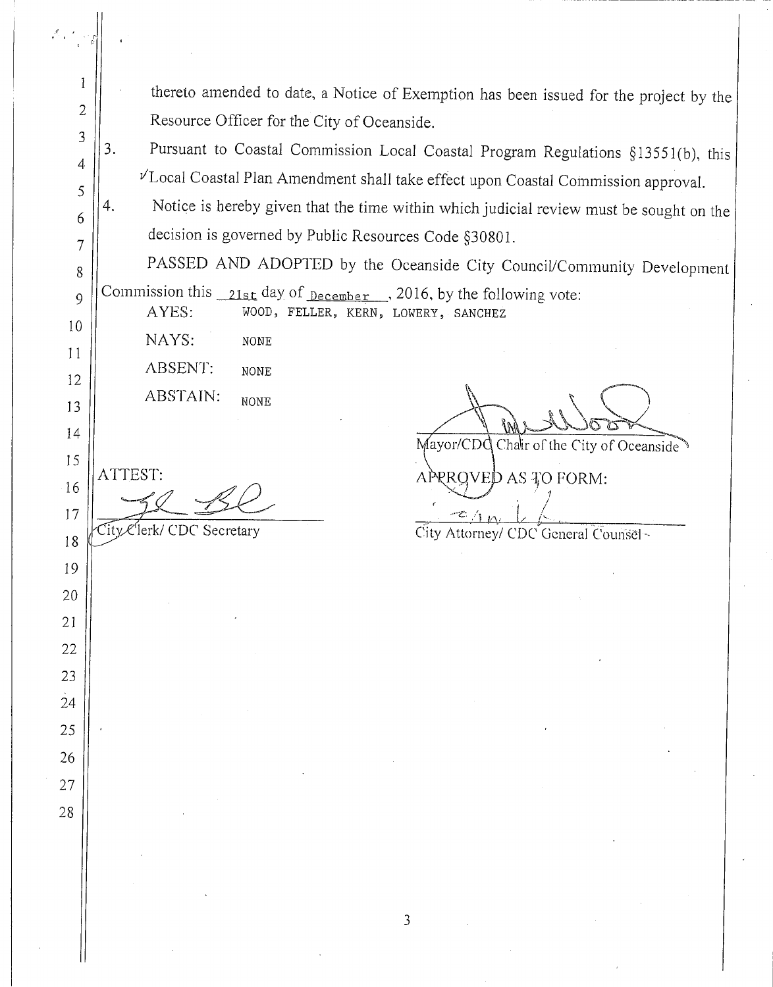1 thereto amended to date, a Notice of Exemption has been issued for the project by the  $\overline{2}$ Resource Officer for the City of Oceanside.  $\overline{3}$ Pursuant to Coastal Commission Local Coastal Program Regulations §13551(b), this 3.  $\overline{4}$  $\nu$ Local Coastal Plan Amendment shall take effect upon Coastal Commission approval. 5 Notice is hereby given that the time within which judicial review must be sought on the 4. 6 decision is governed by Public Resources Code §30801.  $\overline{7}$ PASSED AND ADOPTED by the Oceanside City Council/Community Development 8 Commission this  $_{21st}$  day of  $_{December}$ , 2016, by the following vote:  $\overline{Q}$ AYES: WOOD, FELLER, KERN, LOWERY, SANCHEZ  $10$ NAYS: **NONE**  $11$ **ABSENT:** NONE 12 ABSTAIN: **NONE** 13 14 Mayor/CDC Chair of the City of Oceanside 15 ATTEST: APPROVED AS TO FORM: 16 17 City Clerk/ CDC Secretary City Attorney/ CDC General Counsel~ 18 19 20  $21$ 22 23 24 25 26 27 28

 $\mathfrak{Z}$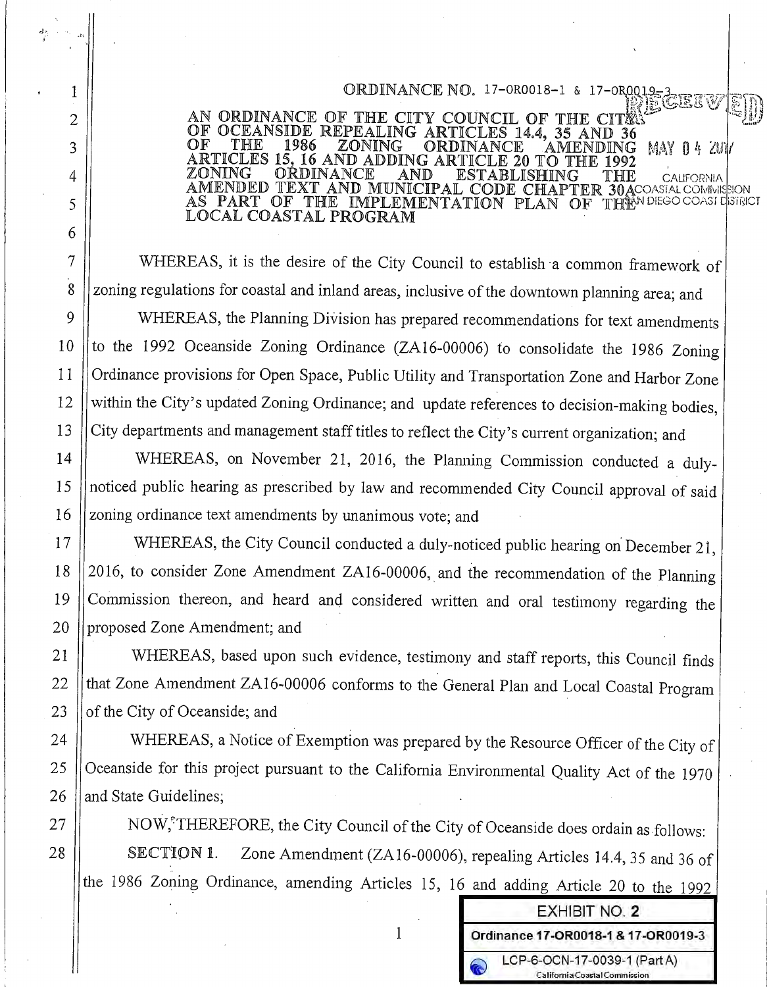ORDINANCE NO. 17-080018-1 & 17-080019-3 AN ORDINANCE OF THE CITY COUNCIL OF THE C SIDE REPEALING ARTICLES 14.4, 35 AND 36 THE 1986 ZONING ORDINANCE MENDING MAY 04 ZUI RTICLES 15 16 AND ADDING ARTICLE 20 TO THE 1992 ZONING ORDINANCE AND ESTABLISHING THE **CALIFORNIA** MENDED TEXT AND MUNICIPAL CODE CHAPTER 30ACOASIALCOMMISSION<br>IS PART OF THE IMPLEMENTATION PLAN OF THE<sup>N DIEGO COASI L</sup>ISTRICT LOCAL COASTAL PROGRAM

WHEREAS, it is the desire of the City Council to establish a common framework of zoning regulations for coastal and inland areas, inclusive of the downtown planning area; and WHEREAS, the Planning Division has prepared recommendations for text amendments to the 1992 Oceanside Zoning Ordinance (ZA16-00006) to consolidate the 1986 Zoning Ordinance provisions for Open Space, Public Utility and Transportation Zone and Harbor Zone within the City's updated Zoning Ordinance; and update references to decision-making bodies, City departments and management staff titles to reflect the City's current organization; and

WHEREAS, on November 21, 2016, the Planning Commission conducted a dulynoticed public hearing as prescribed by law and recommended City Council approval of said zoning ordinance text amendments by unanimous vote; and

WHEREAS, the City Council conducted a duly-noticed public hearing on December 21, 2016, to consider Zone Amendment ZA16-00006, and the recommendation of the Planning Commission thereon, and heard and considered written and oral testimony regarding the proposed Zone Amendment; and

WHEREAS, based upon such evidence, testimony and staff reports, this Council finds that Zone Amendment ZA16-00006 conforms to the General Plan and Local Coastal Program of the City of Oceanside; and

WHEREAS, a Notice of Exemption was prepared by the Resource Officer of the City of Oceanside for this project pursuant to the California Environmental Quality Act of the 1970 and State Guidelines:

NOW,<sup>\*</sup>THEREFORE, the City Council of the City of Oceanside does ordain as follows: Zone Amendment (ZA16-00006), repealing Articles 14.4, 35 and 36 of **SECTION 1.** the 1986 Zoning Ordinance, amending Articles 15, 16 and adding Article 20 to the 1992

| <b>EXHIBIT NO. 2</b>                                          |
|---------------------------------------------------------------|
| Ordinance 17-OR0018-1 & 17-OR0019-3                           |
| LCP-6-OCN-17-0039-1 (Part A)<br>California Coastal Commission |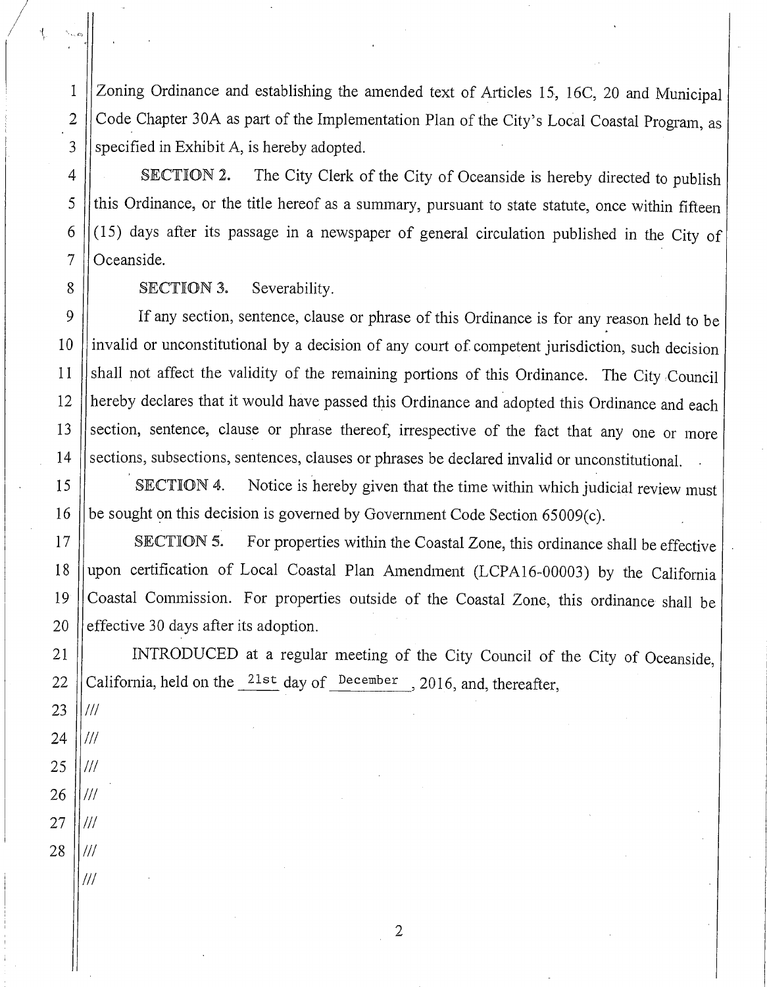Zoning Ordinance and establishing the amended text of Articles 15, 16C, 20 and Municipal Code Chapter 30A as part of the Implementation Plan of the City's Local Coastal Program, as specified in Exhibit A, is hereby adopted.

The City Clerk of the City of Oceanside is hereby directed to publish SECTION 2. this Ordinance, or the title hereof as a summary, pursuant to state statute, once within fifteen (15) days after its passage in a newspaper of general circulation published in the City of Oceanside.

SECTION 3. Severability.

If any section, sentence, clause or phrase of this Ordinance is for any reason held to be invalid or unconstitutional by a decision of any court of competent jurisdiction, such decision shall not affect the validity of the remaining portions of this Ordinance. The City Council hereby declares that it would have passed this Ordinance and adopted this Ordinance and each section, sentence, clause or phrase thereof, irrespective of the fact that any one or more sections, subsections, sentences, clauses or phrases be declared invalid or unconstitutional.

Notice is hereby given that the time within which judicial review must SECTION 4. be sought on this decision is governed by Government Code Section 65009(c).

For properties within the Coastal Zone, this ordinance shall be effective 17 SECTION 5. upon certification of Local Coastal Plan Amendment (LCPA16-00003) by the California 18 Coastal Commission. For properties outside of the Coastal Zone, this ordinance shall be 19 effective 30 days after its adoption. 20

INTRODUCED at a regular meeting of the City Council of the City of Oceanside, California, held on the  $^{21st}$  day of <sup>December</sup>, 2016, and, thereafter,

 $\mathbf{1}$ 

 $\overline{2}$ 

3

 $\overline{4}$ 

5

6

 $\overline{7}$ 

8

9

10

 $11$ 

12

13

14

15

16

21

22

27  $III$ 28  $^{\prime\prime\prime}$ 

 $^{\prime\prime\prime}$ 

 $\mathbf{2}$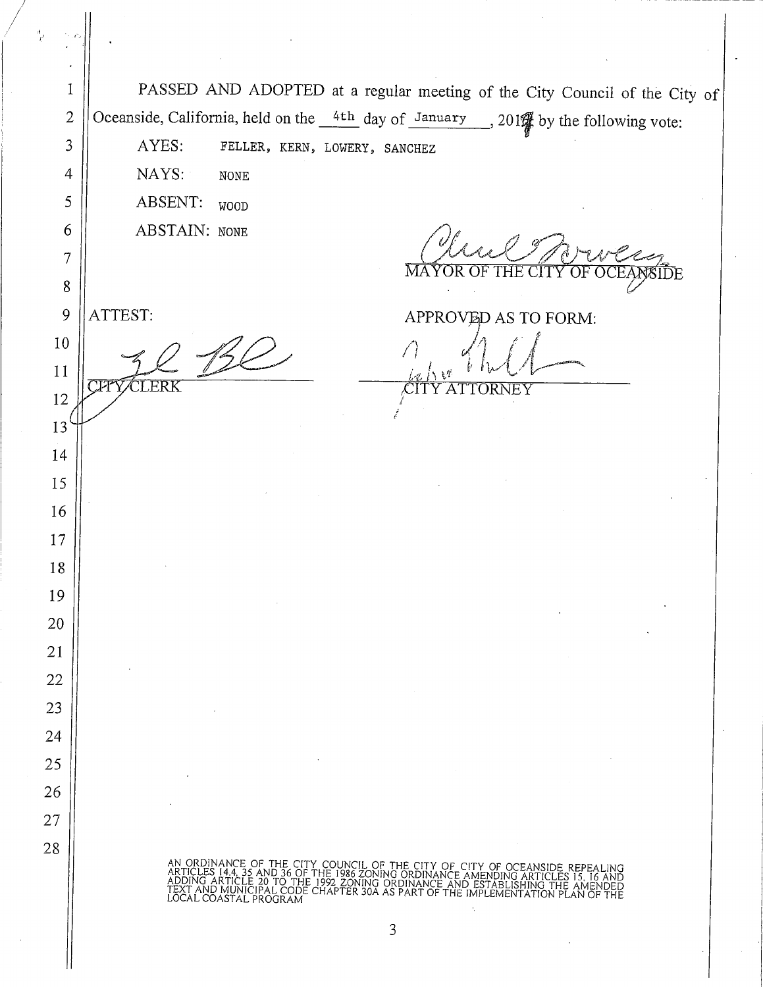PASSED AND ADOPTED at a regular meeting of the City Council of the City of  $\mathbf{1}$ Oceanside, California, held on the  $\frac{4\text{th}}{2}$  day of January 201 % by the following vote:  $\overline{2}$ AYES:  $\overline{3}$ FELLER, KERN, LOWERY, SANCHEZ NAYS:  $\overline{4}$ **NONE** 5 ABSENT: **WOOD ABSTAIN: NONE** 6  $\overline{7}$ MA THE 8 9 ATTEST: APPROVED AS TO FORM: 10  $11$ LERK  $AT$ TORNEY 12 13 14 15 16 17 18 19 20 21 22 23 24 25 26 27 28 CITY OF CITY ÖRDINANCE ÄMENDING ÄR<br>DINANCE AND ESTABLISHII<br>PART OF THE IMPLEMENTA ODE CHẤP 3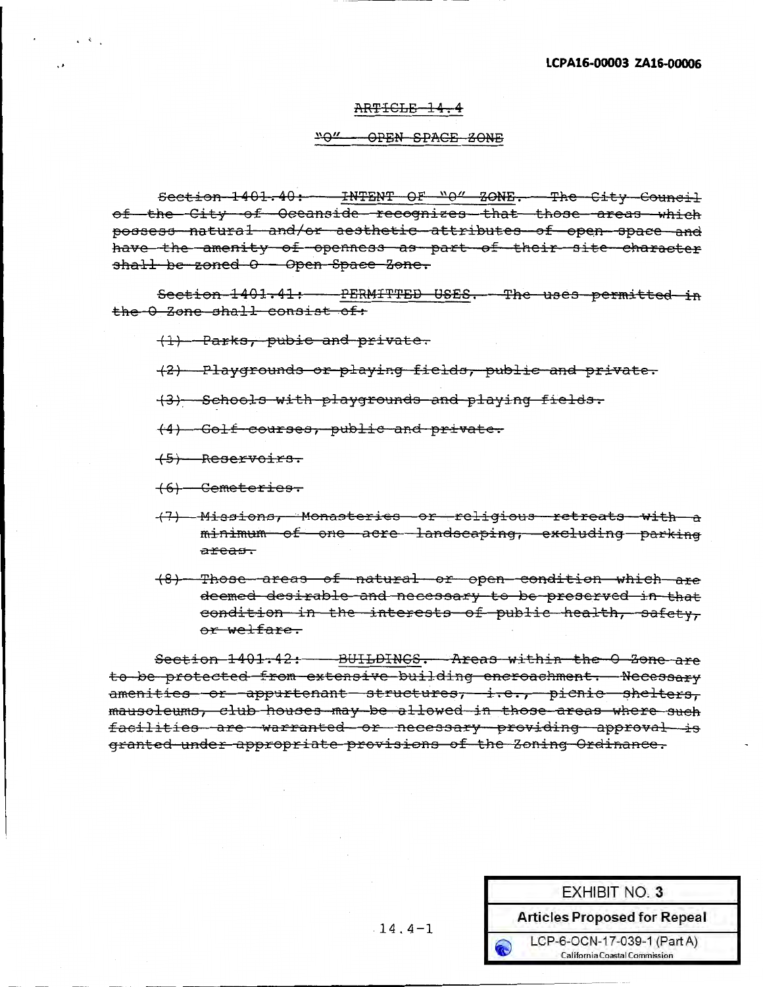#### ARTICLE-14.4

#### "0" OPEN SPACE 30NE

Section 1401.40: INTENT OF "0" ZONE. The City Council of the City of Oceanside recognizes that those areas which possess natural and/or aesthetic attributes of open space and have the amenity of openness as part of their site character  $shall be zoned  $O -$  Open Space Zone.$ 

Section 1401.41: - PERMITTED USES. The uses permitted in the 0 Zone shall consist of:

(1) Parks, pubic and private.

- (2) Playqrounds or playinq fields, public and private.
- (3) Schools with playgrounds and playing fields.
- (4} Golf courses, public and private.
- (5) Reservoirs.
- (6) Cemeteries.
- (7) Missions, Monasteries or religious retreats with a minimum of one acre landscapinq, encludinq parking areas.
- (8) Those areas of natural or open condition which are deemed desirable and necessary to be preserved in that condition in the interests of public health, safety, or welfare.

Section 1401.42: - BUILDINGS. Areas within the 0 Zone are to be protected from extensive buildinq encroachment. Necessary amenities or appurtenant structures, i.e., picnic shelters, mausoleums, club houses may be allowed in those areas where such facilities are warranted or necessary providing approval is granted under appropriate provisions of the 3oning Ordinance.

|            | <b>EXHIBIT NO. 3</b>                                         |
|------------|--------------------------------------------------------------|
|            | <b>Articles Proposed for Repeal</b>                          |
| $\epsilon$ | LCP-6-OCN-17-039-1 (Part A)<br>California Coastal Commission |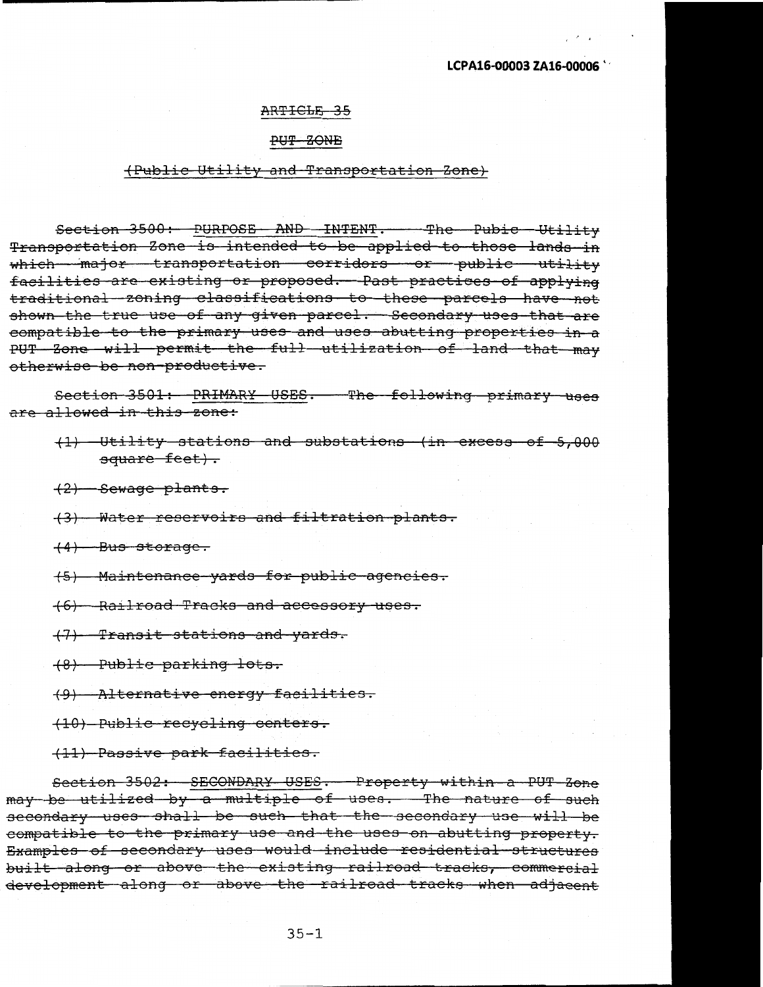#### **LCPA16-00003 ZA16-Q0006** ''

 $\mathcal{L}(\mathbf{r})$ 

#### ARTICLE 35

#### PUT ZONE

#### (Public Utility and Transportation Zone)

Section 3500: PURPOSE AND INTENT. The Pubic Utility Transportation Zone is intended to be applied to those lands in which major transportation corridors or public utility facilities are existing or proposed. Past practices of applying traditional zoning classifications to these parcels have not shown the true use of any given parcel. Secondary uses that are compatible to the primary uses and uses abutting properties in a PUT Zone will permit the full utilization of land that may otherwise be non productive.

Section 3501: PRIMARY USES. The following primary uses are allowed in this zone:

( 1) Utility stations and substations (in mwess of 5, 000 square feet).

(2) Sewage plants.

(3) Water reservoirs and filtration plants.

 $(4)$  Bus storage.

(5) Haintenance yards for public agencies.

(6) Railroad Tracks and accessory uses.

(7) Transit stations and yards.

(8) Public parking lots.

(9) Alternative energy facilities.

(10) Public recycling centers.

(11) Passive park facilities.

Section 3502: SECONDARY USES. Property within a PUT Zone may be utilized by a multiple of uses. The nature of such secondary uses shall be such that the secondary use will be compatible to the primary use and the uses on abutting property. Examples of secondary uses would include residential structures built along or above the existing railroad tracks, commercial development along or above the railroad tracks when adjacent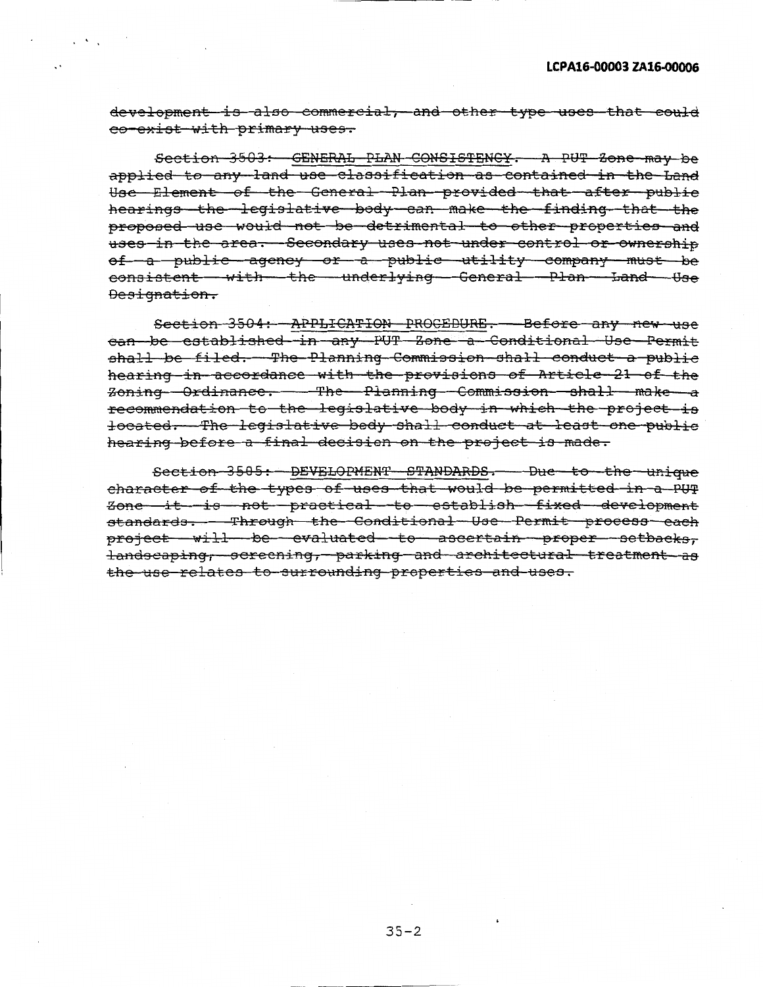development is also commercial, and other type uses that could co exist with primary uses.

Section 3503: GENERAL PLAN CONSISTENCY. A PUT Zone may be applied to any land use classification as contained in the Land Use Element of the General Plan provided that after public hearings the legislative body can make the finding that the proposed use would not be detrimental to other properties and uses in the area. Secondary uses not under control or ownership of a public agency or a public utility company must be consistent with the underlying General Plan Land Use Designation.

Section 3504: APPLICATION PROCEDURE. Before any new use can be established *in* any PUT Zone a Conditional Usc Permit shall be filed. The Planning Commission shall conduct a public hearing in accordance with the provisions of Article 21 of the zoning Ordinance. The Planning Commission shall make a recommendation to the legislative body in which the project is located. The legislative body shall conduct at least one public hearing before a final decision on the project is made.

Section 3505: DEVELOPMENT STANDARDS. Due to the unique character of the types of uses that would be permitted in a PUT zone it is not practical to establish fined development standards. Through the Conditional Use Permit process each project will be evaluated to ascertain proper setbacks, landscaping, screening, parking and architectural treatment as the use relates to surrounding properties and uses.

 $35 - 2$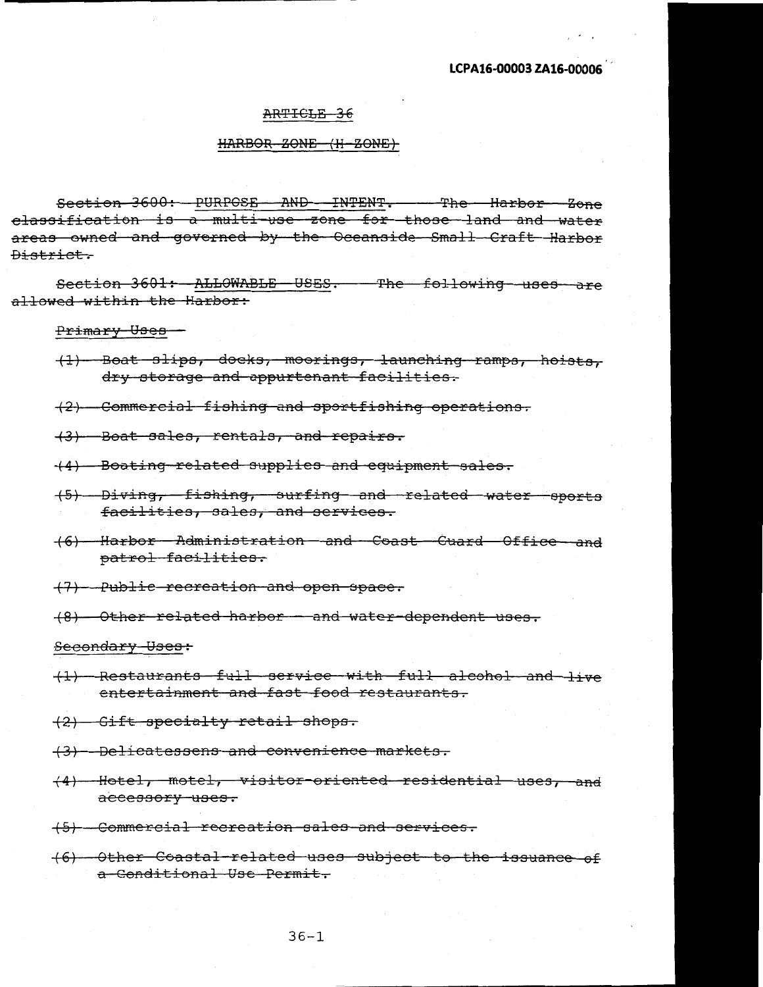#### ARTICLE 36

#### $HARBOR$   $ZONE$   $(H - ZONE)$

Section 3600: PURPOSE AND INTENT. The Harbor Zone classification is a multi-use zone for those land and water areas mmed and governed by the Oceanside Small Craft Harbor District.

Section 3601: ALLOWABLE USES. The following uses are allowed within the Harbor:

Primary Uses

(1) Boat slips, docks, moorings, launching ramps, hoists, dry storage and appurtenant facilities.

(2) Coffiffiercial fishing and sportfishing operations.

(3) Boat sales, rentals, and repairs.

(4) Boating related supplies and equipment sales.

(5) Diving, fishing, surfing and related water sports facilities, sales, and services.

- (6) Harbor Administration and Coast Guard Office and patrol facilities.
- (7) Public recreation and open space.

(8) Other related harbor and water dependent uses.

Secondary Uses:

- (1) Restaurants full service with full alcohol and live entertainment and fast food restaurants.
- (2) Gift specialty retail shops.
- (3) Delicatessens and convenience markets.
- ( 4) Hotel, motel, visitor oriented residential uses, and accessory uses.
- (5) Commercial recreation sales and services.
- ( 6) Other Coastal related uses subject to the issuance of a Conditional Use Permit.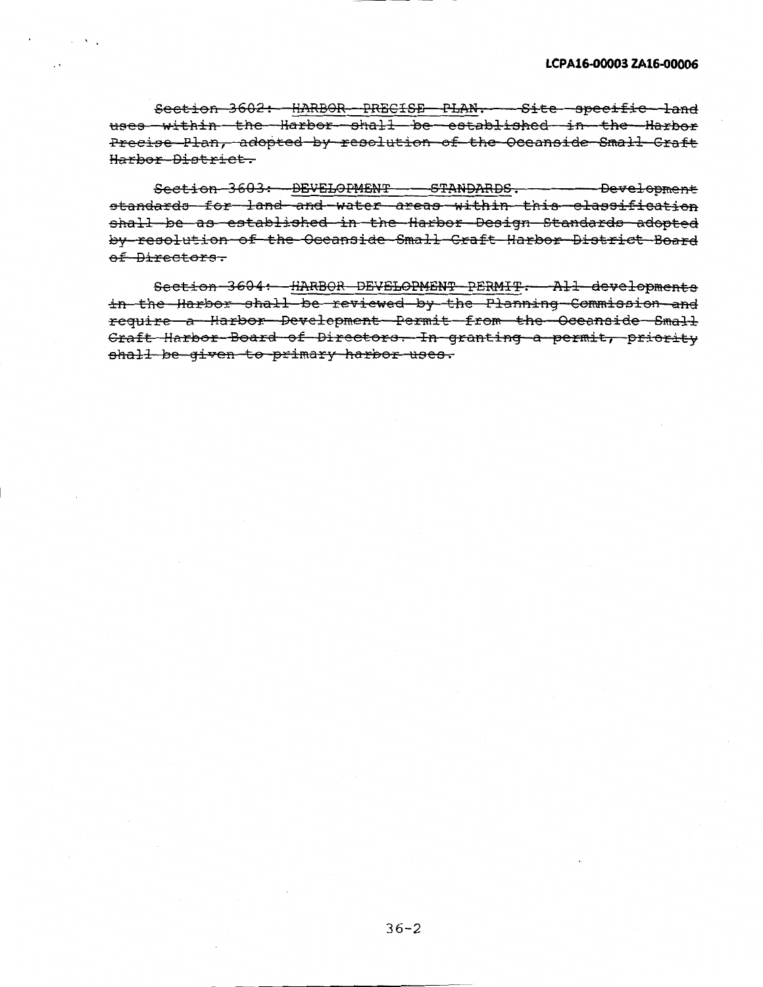Section 3602: HARBOR PRECISE PLAN. Site specific land uses within the Harbor shall be established in the Harbor Precise Plan, adopted by resolution of the Oceanside Small Craft Harbor District.

Section 3603: DEVELOPMENT - STANDARDS. Development standards for land and water areas within this classification shall be as established in the Harbor Design Standards adopted by resolution of the Oceanside Small Craft Harbor District Board of Directors.

Section 3604: HARBOR DEVELOPMENT PERMIT. All developments in the Harbor shall be reviewed by the Planning Commission and require a Harbor Development Permit from the Oceanside Small Craft Harbor Board of Directors. In granting a permit, priority shall be given to primary harbor uses.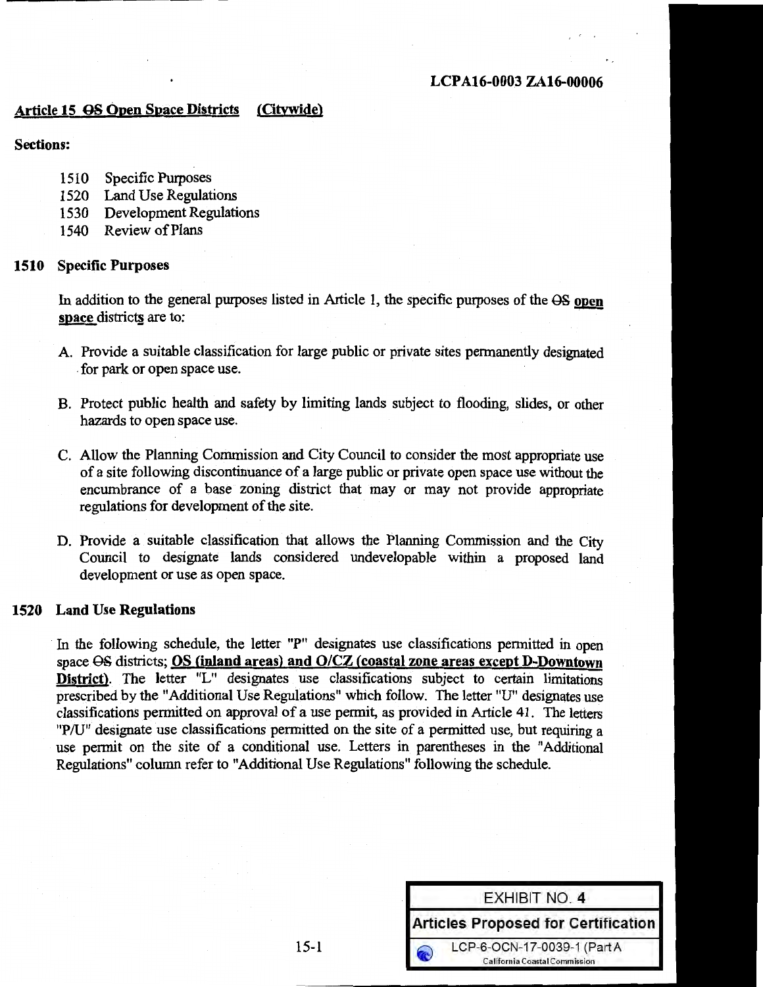#### Article 15 QS Open Space Districts (Citvwide)

#### Sections:

- 1510 Specific Purposes
- 1520 Land Use Regulations
- 1530 Development Regulations
- 1540 Review of Plans

#### 1510 Specific Purposes

In addition to the general purposes listed in Article 1, the specific purposes of the  $\Theta S$  open space districts are to:

- A. Provide a suitable classification for large public or private sites permanently designated . for park or open space use.
- B. Protect public health and safety by limiting lands subject to flooding, slides, or other hazards to open space use.
- C. Allow the Planning Commission and City Council to consider the most appropriate use of a site following discontinuance of a large public or private open space use without the encumbrance of a base zoning district that may or may not provide appropriate regulations for development of the site.
- D. Provide a suitable classification that allows the Planning Commission and the City Council to designate lands considered undevelopable within a proposed land development or use as open space.

#### 1520 Land Use Regulations

In the following schedule, the letter "P" designates use classifications permitted in open space GS districts; OS (inland areas) and 0/CZ (coastal zone areas except D-Downtown District). The letter "L" designates use classifications subject to certain limitations prescribed by the "Additional Use Regulations" which follow. The letter "U" designates use classifications permitted on approval of a use permit, as provided in Article 41. The letters "P/U" designate use classifications permitted on the site of a permitted use, but requiring a use permit on the site of a conditional use. Letters in parentheses in the "Additional Regulations" column refer to "Additional Use Regulations" following the schedule.

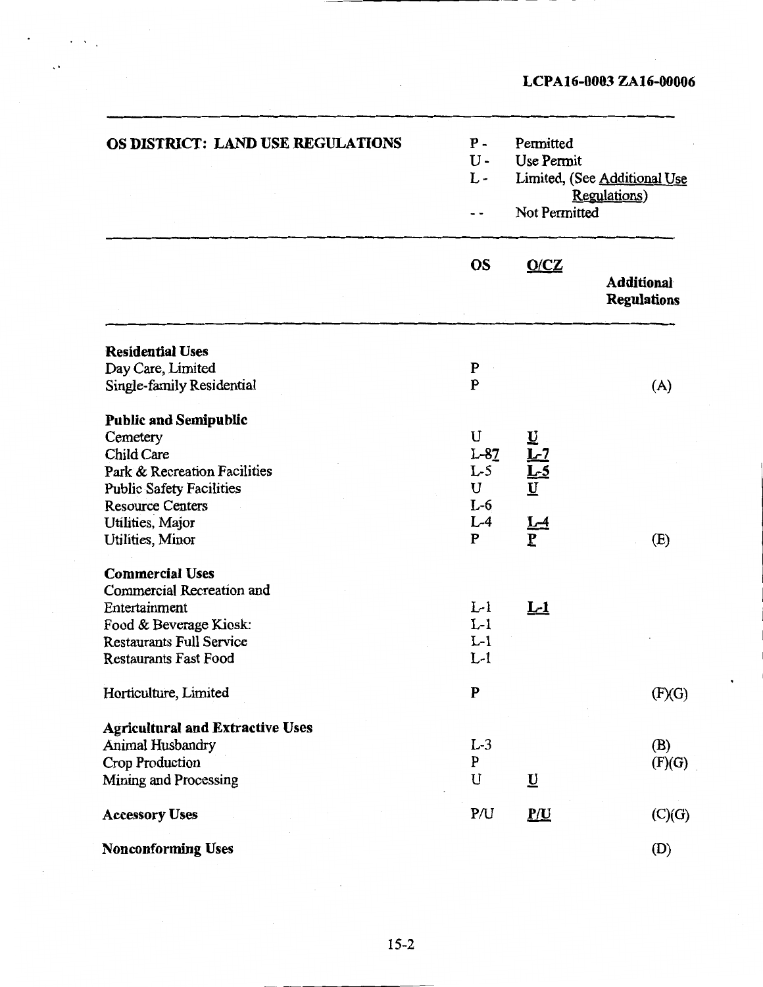| OS DISTRICT: LAND USE REGULATIONS       | $P -$<br>$U -$<br>$L -$<br>- - | Permitted<br>Use Permit<br>Limited, (See Additional Use<br>Regulations)<br>Not Permitted |                                         |
|-----------------------------------------|--------------------------------|------------------------------------------------------------------------------------------|-----------------------------------------|
|                                         | <b>OS</b>                      | O/CZ                                                                                     | <b>Additional</b><br><b>Regulations</b> |
| <b>Residential Uses</b>                 |                                |                                                                                          |                                         |
| Day Care, Limited                       | ${\bf P}$                      |                                                                                          |                                         |
| Single-family Residential               | $\mathbf{P}$                   |                                                                                          | (A)                                     |
| <b>Public and Semipublic</b>            |                                |                                                                                          |                                         |
| Cemetery                                | U                              |                                                                                          |                                         |
| Child Care                              | $L-82$                         |                                                                                          |                                         |
| Park & Recreation Facilities            | $L-5$                          |                                                                                          |                                         |
| <b>Public Safety Facilities</b>         | U                              |                                                                                          |                                         |
| <b>Resource Centers</b>                 | $L-6$                          | $\begin{array}{c}\nU \\ L-7 \\ U \\ U\n\end{array}$                                      |                                         |
| Utilities, Major                        | $L-4$                          |                                                                                          |                                         |
| <b>Utilities</b> , Minor                | ${\bf P}$                      |                                                                                          | (E)                                     |
| <b>Commercial Uses</b>                  |                                |                                                                                          |                                         |
| <b>Commercial Recreation and</b>        |                                |                                                                                          |                                         |
| Entertainment                           | $L-1$                          | <u>L-1</u>                                                                               |                                         |
| Food & Beverage Kiosk:                  | $L-1$                          |                                                                                          |                                         |
| <b>Restaurants Full Service</b>         | $L-1$                          |                                                                                          |                                         |
| <b>Restaurants Fast Food</b>            | $L-1$                          |                                                                                          |                                         |
| Horticulture, Limited                   | ${\bf P}$                      |                                                                                          | (F)(G)                                  |
| <b>Agricultural and Extractive Uses</b> |                                |                                                                                          |                                         |
| Animal Husbandry                        | $L-3$                          |                                                                                          | (B)                                     |
| <b>Crop Production</b>                  | $\mathbf{P}$                   |                                                                                          | (F)(G)                                  |
| Mining and Processing                   | U                              | $\underline{\mathbf{U}}$                                                                 |                                         |
| <b>Accessory Uses</b>                   | P/U                            | $\underline{P}/\underline{U}$                                                            | (C)(G)                                  |
| <b>Nonconforming Uses</b>               |                                |                                                                                          | (D)                                     |

 $\ddot{\phantom{0}}$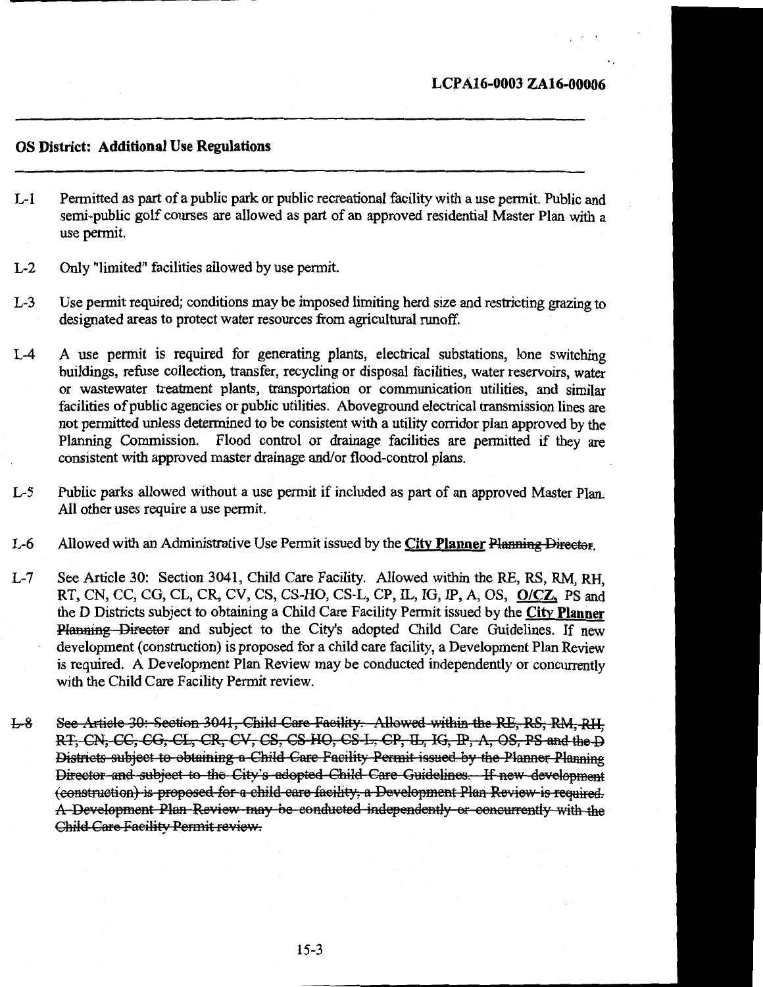#### OS District: Additional Use Regulations

- L-1 Permitted as part of a public park or public recreational facility with a use permit. Public and semi-public golf courses are allowed as part of an approved residential Master Plan with a use permit.
- L-2 Only "limited" facilities allowed by use permit.
- L-3 Use permit required; conditions may be imposed limiting herd size and restricting grazing to designated areas to protect water resources from agricultural runoff.
- L-4 A use permit is required for generating plants, electrical substations, lone switching buildings, refuse collection, transfer, recycling or disposal facilities, water reservoirs, water or wastewater treatment plants, transportation or communication utilities, and similar facilities of public agencies or public utilities. Aboveground electrical transmission lines are not permitted unless determined to be consistent with a utility corridor plan approved by the Planning Commission. Flood control or drainage facilities are permitted if they are consistent with approved master drainage and/or flood-control plans.
- L-5 Public parks allowed without a use permit if included as part of an approved Master Plan. All other uses require a use permit.
- L-6 Allowed with an Administrative Use Permit issued by the City Planner Planning Director.
- L-7 See Article 30: Section 3041, Child Care Facility. Allowed within the RE, RS, RM, RH, RT, CN, CC, CG, CL, CR, CV, CS, CS-HO, CS-L, CP, IL, IG, IP, A, OS, 0/CZ, PS and the D Districts subject to obtaining a Child Care Facility Permit issued by the City Planner Planning Director and subject to the City's adopted Child Care Guidelines. If new development (construction) is proposed for a child care facility, a Development Plan Review is required. A Development Plan Review may be conducted independently or concurrently with the Child Care Facility Permit review.
- L-8 See Article 30: Section 3041, Child Care Facility. Allowed within the RE, RS, RM, RH; RT, CN, CC, CG, CL, CR, CV, CS, CS HO, CS L, CP, IL, IG, IP, A, OS, PS and the D Districts subject to obtaining a Child Care Facility Permit issued by the Planner Planning Director and subject to the City's adopted Child Care Guidelines. If new development (construction) is proposed for a child care facility, a Development Plan Review is required. A Development Plan Review may be conducted independently or concurrently with the Child Care Facility Permit review.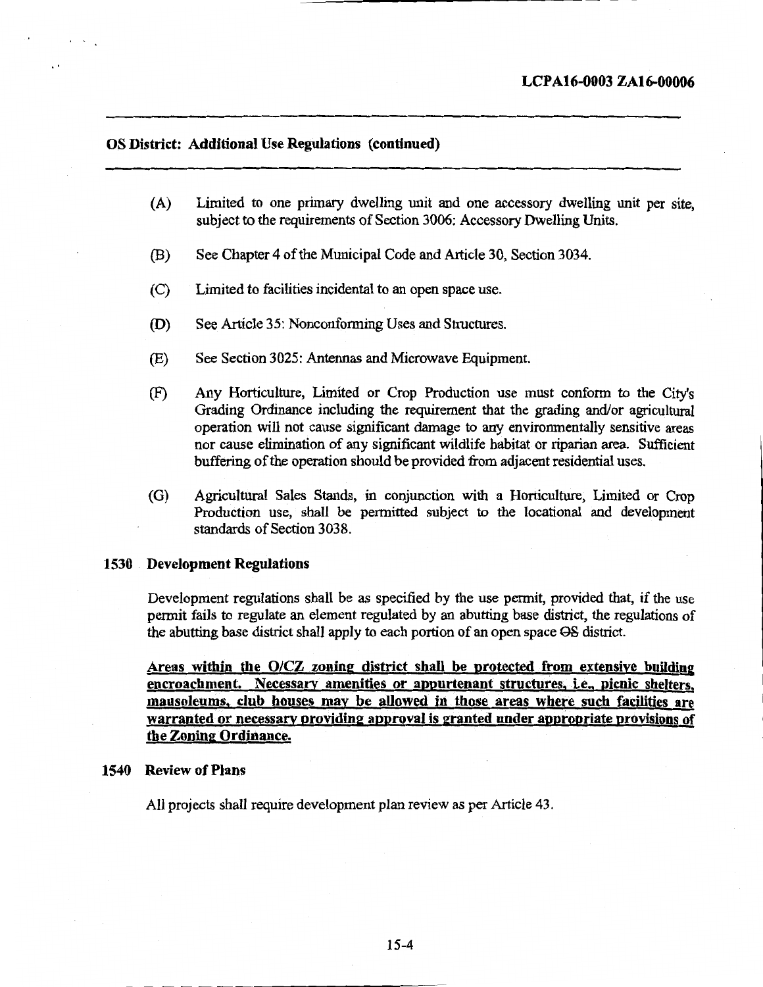#### OS District: Additional Use Regulations (continued)

..

- (A) Limited to one primary dwelling unit and one accessory dwelling unit per site, subject to the requirements of Section 3006: Accessory Dwelling Units.
- (B) See Chapter 4 of the Municipal Code and Article 30, Section 3034.
- (C) Limited to facilities incidental to an open space use.
- (D) See Article 35: Nonconforming Uses and Structures.
- (E) See Section 3025: Antennas and Microwave Equipment.
- (F) Any Horticulture, Limited or Crop Production use must conform to the City's Grading Ordinance including the requirement that the grading and/or agricultural operation will not cause significant damage to any environmentally sensitive areas nor cause elimination of any significant wildlife habitat or riparian area. Sufficient buffering of the operation should be provided from adjacent residential uses.
- (G) Agricultural Sales Stands, in conjunction with a Horticulture, Limited or Crop Production use, shall be permitted subject to the locational and development standards of Section 3038.

#### 1530 Development Regulations

Development regulations shall be as specified by the use permit, provided that, if the use permit fails to regulate an element regulated by an abutting base district, the regulations of the abutting base district shall apply to each portion of an open space Q8 district.

Areas within the 0/CZ zoning district shall be protected from extensive building encroachment. Necessary amenities or appurtenant structures, i.e., picnic shelters, mausoleums, club houses may be allowed in those areas where such facilities are warranted or necessary providing approval is granted under appropriate provisions of the Zoning Ordinance.

#### 1540 Review of Plans

All projects shall require development plan review as per Article 43.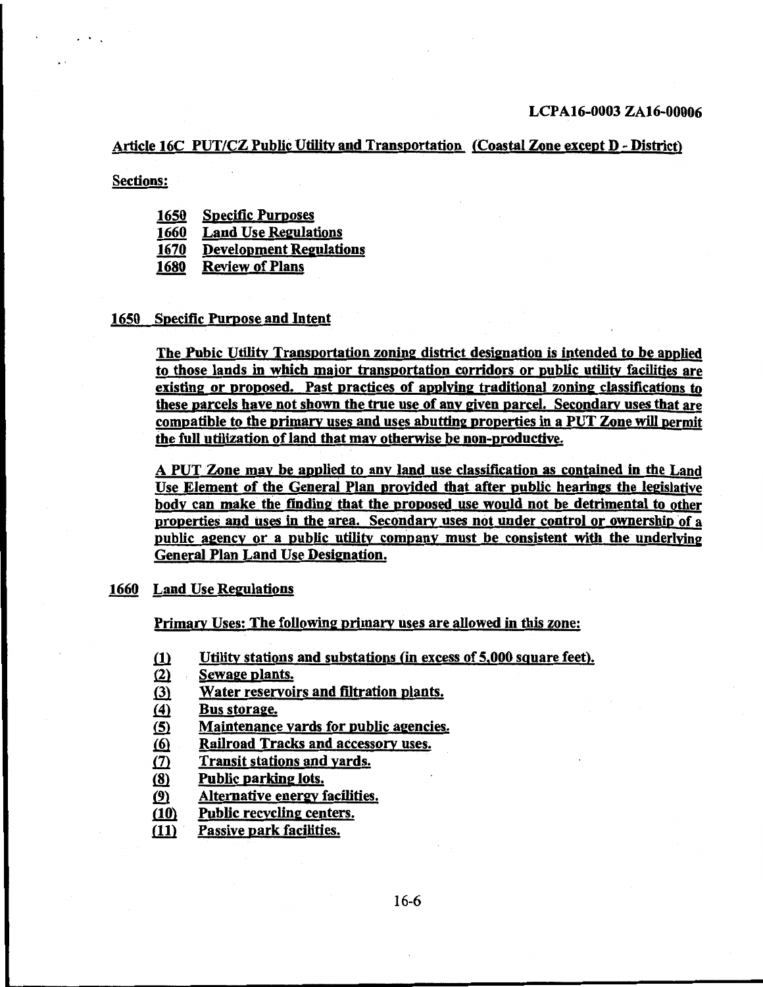#### Article 16C PUT/CZ Public Utility and Transportation (Coastal Zone except D - District)

Sections:

..

- 1650 Specific Purposes
- 1660 Land Use Regulations
- 1670 Development Regulations
- 1680 Review of Plans

#### 1650 Specific Purpose and Intent

The Pubic Utility Transportation zoning district designation is intended to be anplied to those lands in which major transportation corridors or public utility facilities are existing or proposed. Past practices of applying traditional zoning classifications to these parcels have not shown the true use of any given parcel. Secondary uses that are compatible to the primary uses and uses abutting properties in a PUT Zone will permit the full utilization of land that may otherwise be non-productive.

A PUT Zone may be applied to any land use classification as. contained in the Land Use Element of the General Plan provided that after public hearings the legislative body can make the finding that the proposed use would not be detrimental to other properties and uses in the area. Secondary uses not under control or ownership of a public agency or a public utility company must be consistent with the underlving General Plan Land Use Designation.

#### 1660 Land Use Regulations

Primary Uses: The following primary uses are allowed in this zone:

- $\delta$  Utility stations and substations (in excess of 5,000 square feet).
- (2) Sewage plants.
- (3) Water reservoirs and filtration plants.
- $f(4)$  Bus storage.
- $\langle 5 \rangle$  Maintenance yards for public agencies.
- ~ Railroad Tracks and accessory uses.
- (7) Transit stations and yards.
- (8) Public parking lots.
- .(2} Alternative energy facilities.
- $f(10)$  Public recycling centers.
- (11) Passive park facilities.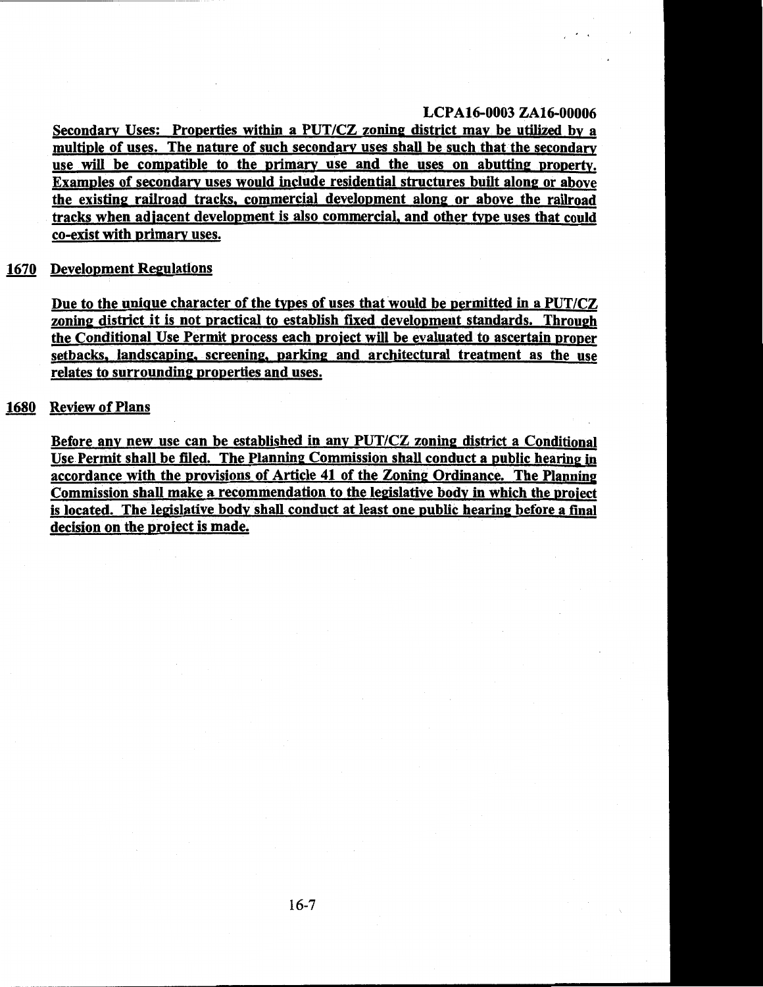' .

Secondary Uses: Properties within a PUT/CZ zoning district may be utilized by a multiple of uses. The nature of such secondary uses shall be such that the secondary use will be compatible to the primary use and the uses on abutting property. Examples of secondary uses would include residential structures built along or above the existing railroad tracks. commercial development along or above the railroad tracks when adjacent development is also commercial, and other type uses that could co-exist with primary uses.

#### 1670 Development Regulations

Due to the unique character of the types of uses that would be permitted in a PUT/CZ zoning district it is not practical to establish fixed development standards. Through the Conditional Use Permit process each project will be evaluated to ascertain proper setbacks, landscaping, screening, parking and architectural treatment as the use relates to surrounding properties and uses.

#### 1680 Review of Plans

Before any new use can be established in any PUT/CZ zoning district a Conditional Use.Permit shall be filed. The Planning Commission shall conduct a public hearing in accordance with the provisions of Article 41 of the Zoning Ordinance. The Planning Commission shall make a recommendation to the legislative body in which the project is located. The legislative body shall conduct at least one public hearing before a final decision on the project is made.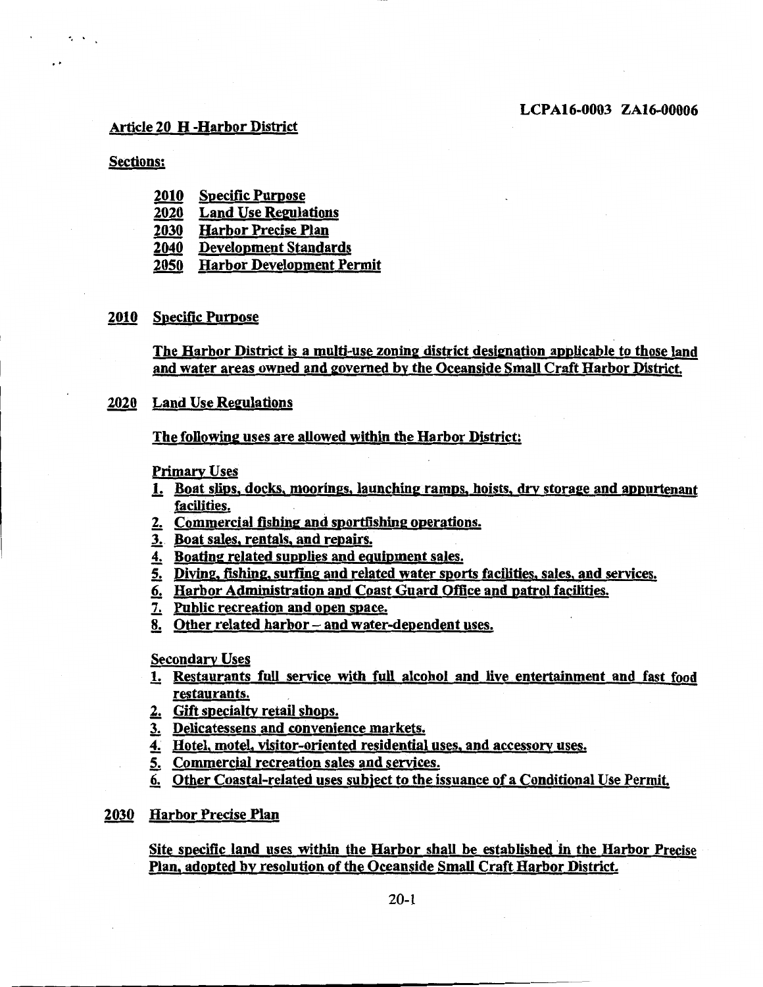#### Article 20 H -Harbor District

#### Sections:

 $\cdot$  .

. .

- 2010 Specific Purpose
- 2020 Land Use Regulations
- 2030 Harbor Precise Plan
- 2040 Development Standards
- 2050 Harbor Development Permit

#### 2010 Specific Purpose

The Harbor District is a multi-use zoning district designation applicable to those land and water areas owned and governed by the Oceanside Small Craft Harbor District.

#### 2020 Land Use Regulations

The following uses are allowed within the Harbor District:

Primary Uses

- 1. Boat slips. docks, moorings, launching ramps, hoists, drv storage and appurtenant facilities.
- 2. Commercial fishing and sportfishing operations.
- 3.. Boat sales, rentals, and repairs.
- 4. Boating related supplies and equipment sales.
- 5. Diving, fishing, surfing and related water sports facilities, sales, and services.
- 6. Harbor Administration and Coast Guard Office and patrol facilities.
- 7. Public recreation and open space.
- 8. Other related harbor- and water-dependent uses.

Secondary Uses

- 1. Restaurants full service with full alcohol and live entertainment and fast food restaurants.
- 2. Gift specialty retail shops.
- J: Delicatessens and convenience markets.
- 4. Hotel, motel, visitor-oriented residential uses, and accessory uses.
- 5. Commercial recreation sales and services.
- 6. Other Coastal-related uses subject to the issuance of a Conditional Use Permit.
- 2030 Harbor Precise Plan

Site specific land uses within the Harbor shall be established in the Harbor Precise Plan, adopted by resolution of the Oceanside Small Craft Harbor District.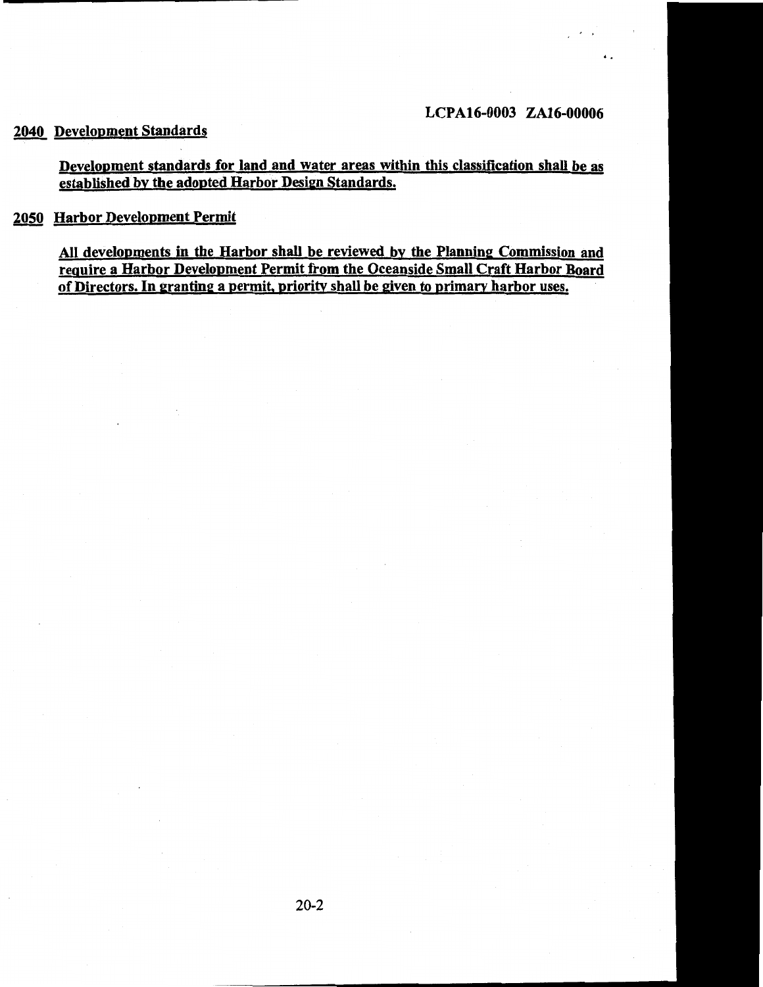..

## 2040 Development Standards

### Development standards for land and water areas within this classification shall be as established by the adopted Harbor Design Standards.

## 2050 Harbor Development Permit

All developments in the Harbor shall be reviewed by the Planning Commission and require a Harbor Development Permit from the Oceanside Small Craft Harbor Board of Directors. In granting a permit, priority shall be given to primary harbor uses.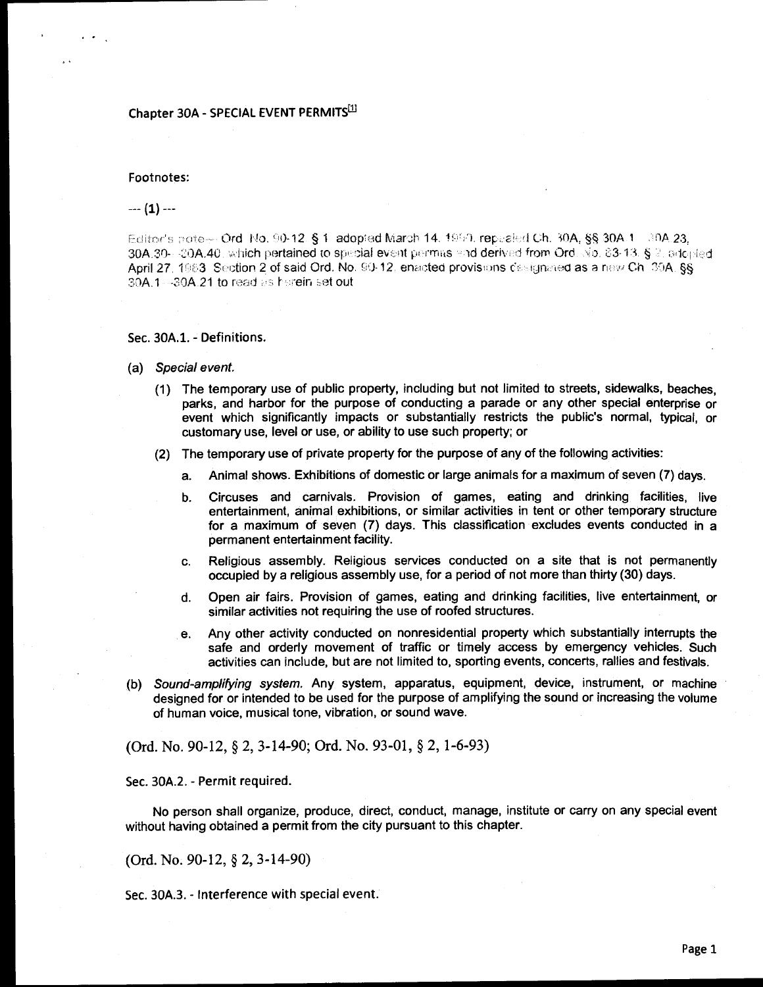#### Chapter 30A - SPECIAL EVENT PERMITS<sup>[1]</sup>

#### Footnotes:

#### $--(1) -$

Editor's note— Ord. No. 90-12. § 1. adopted March 14. 1960. repeated Ch. 30A, §§ 30A.1. 30A.23, 30A.30---20A.40, which pertained to special event permas and derived from Ord. No. 23-13. § 2. addpied April 27, 1983. Section 2 of said Ord. No. 90-12, enacted provisions designated as a new Ch. 30A, §§ 30A.1 -- 30A.21 to read as herein set out

Sec. 30A.1. - Definitions.

- (a) Special event.
	- (1) The temporary use of public property, including but not limited to streets, sidewalks, beaches. parks, and harbor for the purpose of conducting a parade or any other special enterprise or event which significantly impacts or substantially restricts the public's normal, typical, or customary use, level or use, or ability to use such property; or
	- (2) The temporary use of private property for the purpose of any of the following activities:
		- Animal shows. Exhibitions of domestic or large animals for a maximum of seven (7) days. a.
		- Circuses and carnivals. Provision of games, eating and drinking facilities, live b. entertainment, animal exhibitions, or similar activities in tent or other temporary structure for a maximum of seven (7) days. This classification excludes events conducted in a permanent entertainment facility.
		- Religious assembly. Religious services conducted on a site that is not permanently C. occupied by a religious assembly use, for a period of not more than thirty (30) days.
		- Open air fairs. Provision of games, eating and drinking facilities, live entertainment, or d. similar activities not requiring the use of roofed structures.
		- Any other activity conducted on nonresidential property which substantially interrupts the е. safe and orderly movement of traffic or timely access by emergency vehicles. Such activities can include, but are not limited to, sporting events, concerts, rallies and festivals.
- (b) Sound-amplifying system. Any system, apparatus, equipment, device, instrument, or machine designed for or intended to be used for the purpose of amplifying the sound or increasing the volume of human voice, musical tone, vibration, or sound wave.

(Ord. No. 90-12, § 2, 3-14-90; Ord. No. 93-01, § 2, 1-6-93)

Sec. 30A.2. - Permit required.

No person shall organize, produce, direct, conduct, manage, institute or carry on any special event without having obtained a permit from the city pursuant to this chapter.

(Ord. No. 90-12,  $\S$  2, 3-14-90)

Sec. 30A.3. - Interference with special event.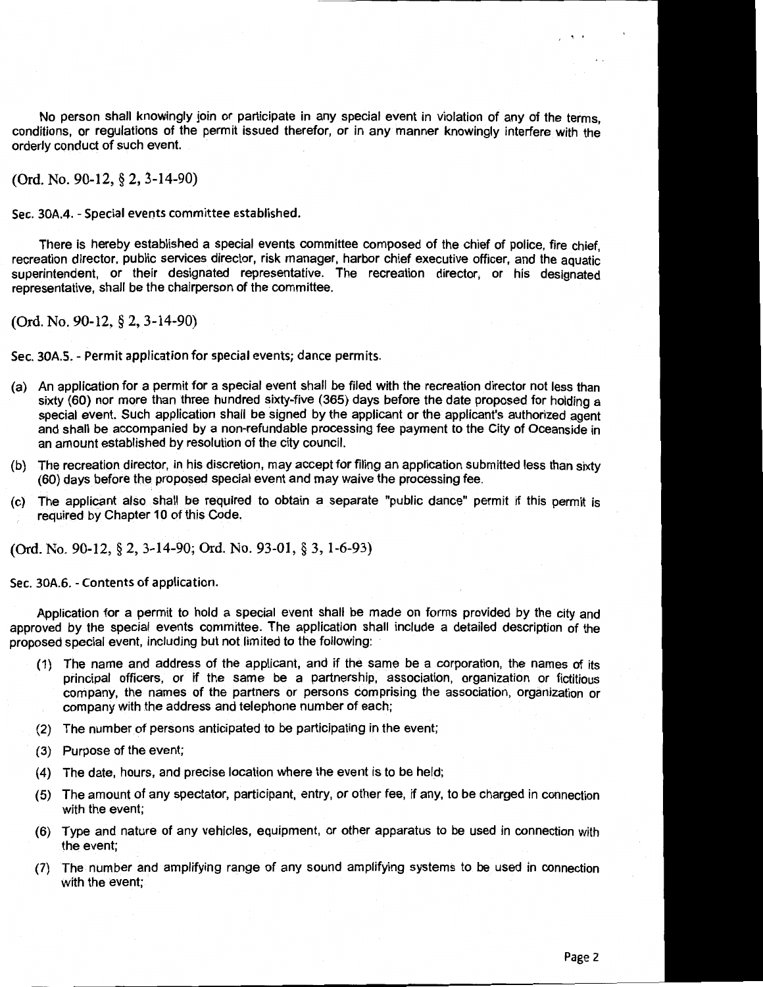No person shall knowingly join or participate in any special event in violation of any of the terms, conditions, or regulations of the permit issued therefor, or in any manner knowingly interfere with the orderly conduct of such event.

(Ord. No. 90-12, § 2, 3-14-90)

Sec. 30A.4. - Special events committee established.

There is hereby established a special events committee composed of the chief of police, fire chief, recreation director, public services director, risk manager, harbor chief executive officer, and the aquatic superintendent, or their designated representative. The recreation director, or his designated representative, shall be the chairperson of the committee.

(Ord. No. 90-12, § 2, 3-14-90)

Sec. 30A.S.- Permit application for special events; dance permits.

- (a) An application for a permit for a special event shall be filed with the recreation director not less than sixty (60) nor more than three hundred sixty-five (365) days before the date proposed for holding a special event. Such application shall be signed by the applicant or the applicant's authorized agent and shall be accompanied by a non-refundable processing fee payment to the City of Oceanside in an amount established by resolution of the city council.
- (b) The recreation director, in his discretion, may accept for filing an application submitted less than sixty (60) days before the proposed special event and may waive the processing fee.
- (c) The applicant also shall be required to obtain a separate "public dance" permit if this permit is required by Chapter 10 of this Code.

(Ord. No. 90-12, § 2, 3-14-90; Ord. No. 93-01, § 3, 1-6-93)

Sec. 30A.6. - Contents of application.

Application for a permit to hold a special event shall be made on forms provided by the city and approved by the special events committee. The application shall include a detailed description of the proposed special event, including but not limited to the following:

- (1) The name and address of the applicant, and if the same be a corporation, the names of its principal officers, or if the same be a partnership, association, organization or fictitious company, the names of the partners or persons comprising the association, organization or company with the address and telephone number of each;
- (2) The number of persons anticipated to be participating in the event;
- (3) Purpose of the event;
- (4) The date, hours, and precise location where the event is to be held;
- (5) The amount of any spectator, participant, entry, or other fee, if any, to be charged in connection with the event;
- (6) Type and nature of any vehicles, equipment, or other apparatus to be used in connection with the event;
- (7) The number and amplifying range of any sound amplifying systems to be used in connection with the event;

 $\cdot$  .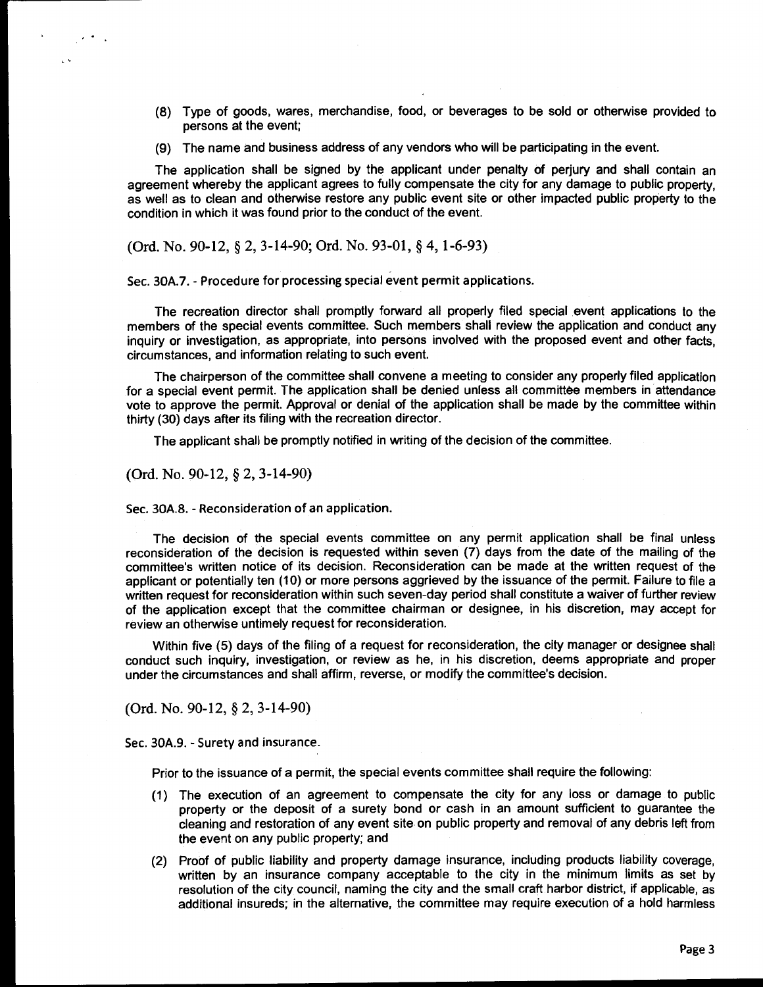- (8) Type of goods, wares, merchandise, food, or beverages to be sold or otherwise provided to persons at the event;
- (9) The name and business address of any vendors who will be participating in the event.

The application shall be signed by the applicant under penalty of perjury and shall contain an agreement whereby the applicant agrees to fully compensate the city for any damage to public property, as well as to clean and otherwise restore any public event site or other impacted public property to the condition in which it was found prior to the conduct of the event.

(Ord. No. 90-12, § 2, 3-14-90; Ord. No. 93-01, § 4, 1-6-93)

Sec. 30A.7.- Procedure for processing special event permit applications.

The recreation director shall promptly forward all properly filed special event applications to the members of the special events committee. Such members shall review the application and conduct any inquiry or investigation, as appropriate, into persons involved with the proposed event and other facts, circumstances, and information relating to such event.

The chairperson of the committee shall convene a meeting to consider any properly filed application for a special event permit. The application shall be denied unless all committee members in attendance vote to approve the permit. Approval or denial of the application shall be made by the committee within thirty (30} days after its filing with the recreation director.

The applicant shall be promptly notified in writing of the decision of the committee.

(Ord. No. 90-12, § 2, 3-14-90)

 $\sim$   $\sim$   $\sim$ 

 $\sim$ 

Sec. 30A.8. - Reconsideration of an application.

The decision of the special events committee on any permit application shall be final unless reconsideration of the decision is requested within seven (7) days from the date of the mailing of the committee's written notice of its decision. Reconsideration can be made at the written request of the applicant or potentially ten (10) or more persons aggrieved by the issuance of the permit. Failure to file a written request for reconsideration within such seven-day period shall constitute a waiver of further review of the application except that the committee chairman or designee, in his discretion, may accept for review an otherwise untimely request for reconsideration.

Within five (5) days of the filing of a request for reconsideration, the city manager or designee shall conduct such inquiry, investigation, or review as he, in his discretion, deems appropriate and proper under the circumstances and shall affirm, reverse, or modify the committee's decision.

(Ord. No. 90-12, § 2, 3-14-90)

Sec. 30A.9. - Surety and insurance.

Prior to the issuance of a permit, the special events committee shall require the following:

- (1) The execution of an agreement to compensate the city for any loss or damage to public property or the deposit of a surety bond or cash in an amount sufficient to guarantee the cleaning and restoration of any event site on public property and removal of any debris left from the event on any public property; and
- (2) Proof of public liability and property damage insurance, including products liability coverage, written by an insurance company acceptable to the city in the minimum limits as set by resolution of the city council, naming the city and the small craft harbor district, if applicable, as additional insureds; in the alternative, the committee may require execution of a hold harmless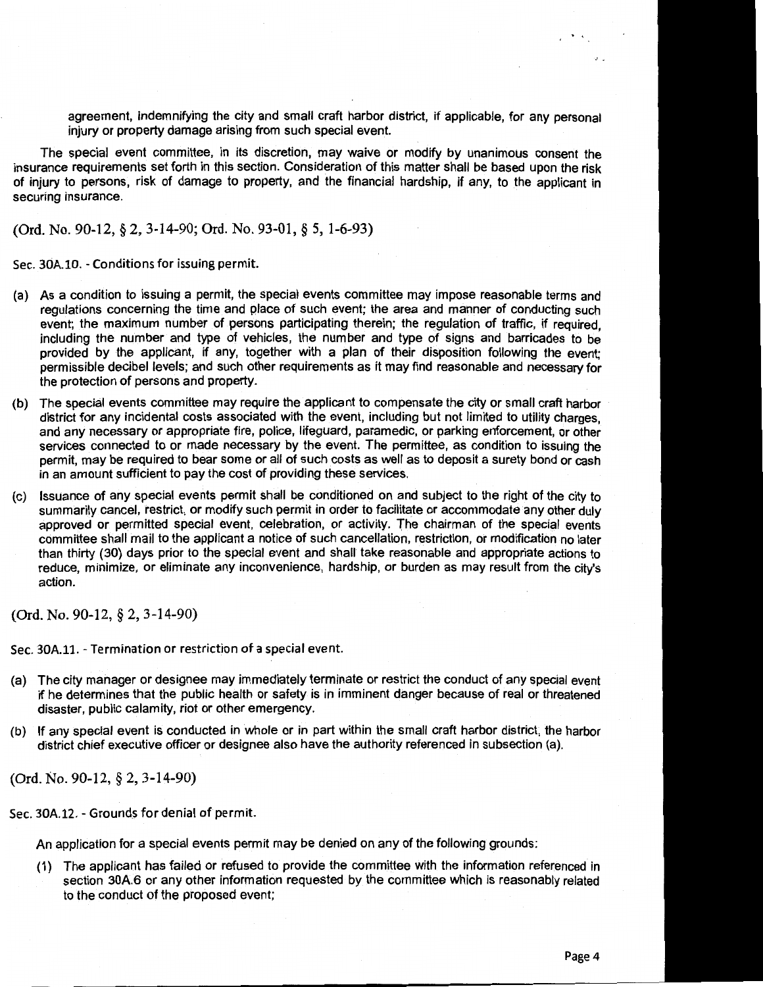agreement, indemnifying the city and small craft harbor district, if applicable, for any personal injury or property damage arising from such special event.

The special event committee, in its discretion, may waive or modify by unanimous consent the insurance requirements set forth in this section. Consideration of this matter shall be based upon the risk of injury to persons, risk of damage to property, and the financial hardship, if any, to the applicant in securing insurance.

(Ord. No. 90-12, § 2, 3-14-90; Ord. No. 93-01, § 5, 1-6-93)

Sec. 30A.10. - Conditions for issuing permit.

- (a) As a condition to issuing a permit, the special events committee may impose reasonable terms and regulations concerning the time and place of such event; the area and manner of conducting such event; the maximum number of persons participating therein; the regulation of traffic, if required, including the number and type of vehicles, the number and type of signs and barricades to be provided by the applicant, if any, together with a plan of their disposition following the event; permissible decibel levels; and such other requirements as it may find reasonable and necessary for the protection of persons and property.
- (b) The special events committee may require the applicant to compensate the city or small craft harbor district for any incidental costs associated with the event, including but not limited to utility charges, and any necessary or appropriate fire, police, lifeguard, paramedic, or parking enforcement, or other services connected to or made necessary by the event. The permittee, as condition to issuing the permit, may be required to bear some or all of such costs as well as to deposit a surety bond or cash in an amount sufficient to pay the cost of providing these services.
- (c) Issuance of any special events permit shall be conditioned on and subject to the right of the city to summarily cancel, restrict, or modify such permit in order to facilitate or accommodate any other duly approved or permitted special event, celebration, or activity. The chairman of the special events committee shall mail to the applicant a notice of such cancellation, restriction, or modification no later than thirty (30) days prior to the special event and shall take reasonable and appropriate actions to reduce, minimize, or eliminate any inconvenience, hardship, or burden as may result from the city's action.

(Ord. No. 90-12, § 2, 3-14-90)

Sec. 30A.11.- Termination or restriction of a special event.

- (a) The city manager or designee may immediately terminate or restrict the conduct of any special event if he determines that the public health or safety is in imminent danger because of real or threatened disaster, public calamity, riot or other emergency.
- (b) If any special event is conducted in whole or in part within the small craft harbor district, the harbor district chief executive officer or designee also have the authority referenced in subsection (a).

(Ord. No. 90-12, § 2, 3-14-90)

Sec. 30A.12. - Grounds for denial of permit.

An application for a special events permit may be denied on any of the following grounds:

(1) The applicant has failed or refused to provide the committee with the information referenced in section 30A.6 or any other information requested by the committee which is reasonably related to the conduct of the proposed event;

 $\ddot{\phantom{0}}$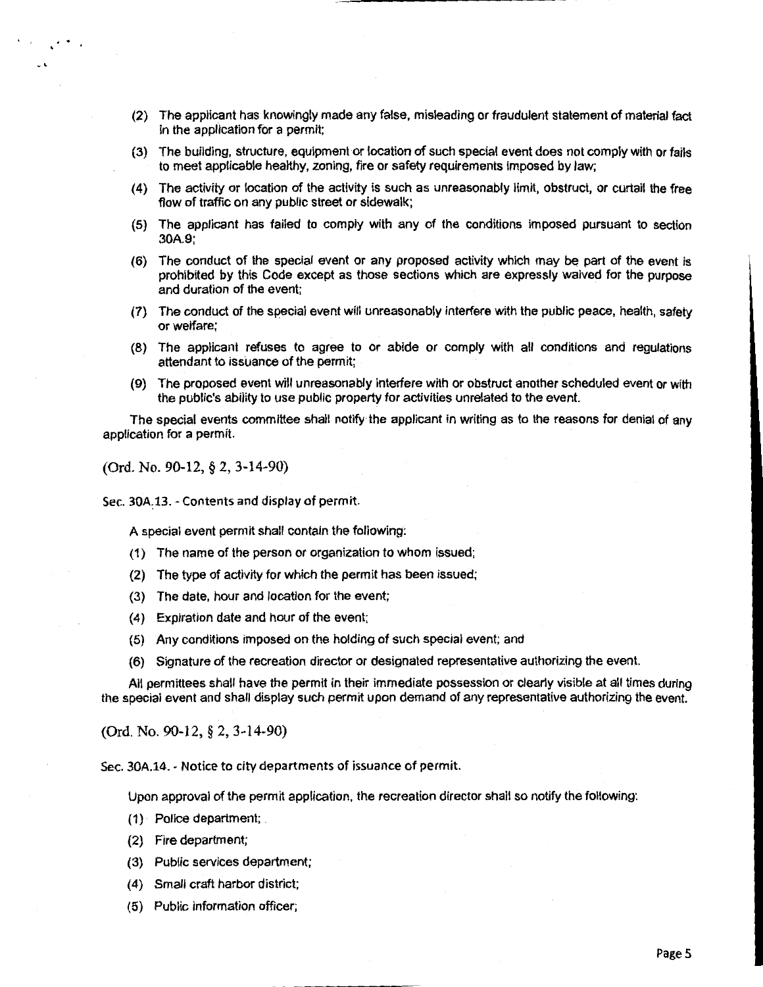- (2) The applicant has knowingly made any false, misleading or fraudulent statement of material fact in the application for a permit;
- (3) The building, structure, equipment or location of such special event does not comply with or fails to meet applicable healthy, zoning, fire or safety requirements imposed by law;
- (4) The activity or location of the activity is such as unreasonably limit, obstruct, or curtail the free flow of traffic on any public street or sidewalk;
- (5) The applicant has failed to comply with any of the conditions imposed pursuant to section 30A.9;
- (6) The conduct of the special event or any proposed activity which may be part of the event is prohibited by this Code except as those sections which are expressly waived for the purpose and duration of the event;
- (7) The conduct of the special event will unreasonably interfere with the public peace, health, safety or welfare;
- (8) The applicant refuses to agree to or abide or comply with all conditions and regulations attendant to issuance of the permit;
- (9) The proposed event will unreasonably interfere with or obstruct another scheduled event or with the public's ability to use public property for activities unrelated to the event.

The special events committee shall notify the applicant in writing as to the reasons for denial of any application for a permit.

(Ord. No. 90-12, § 2, 3-14-90)

 $\mathbf{r}$ .

Sec. 30A.13. - Contents and display of permit.

A special event permit shall contain the following:

- (1) The name of the person or organization to whom issued;
- (2) The type of activity for which the permit has been issued;
- (3) The date, hour and location for the event;
- (4) Expiration date and hour of the event;
- (5) Any conditions imposed on the holding of such special event; and
- (6) Signature of the recreation director or designated representative authorizing the event.

All permittees shall have the permit in their immediate possession or clearly visible at all times during the special event and shall display such permit upon demand of any representative authorizing the event.

(Ord. No. 90-12, § 2, 3-14-90)

Sec. 30A.14. - Notice to city departments of issuance of permit.

Upon approval of the permit application, the recreation director shall so notify the following:

- (1) Police department; .
- (2) Fire department;
- (3) Public services department;
- (4) Small craft harbor district;
- (5) Public information officer;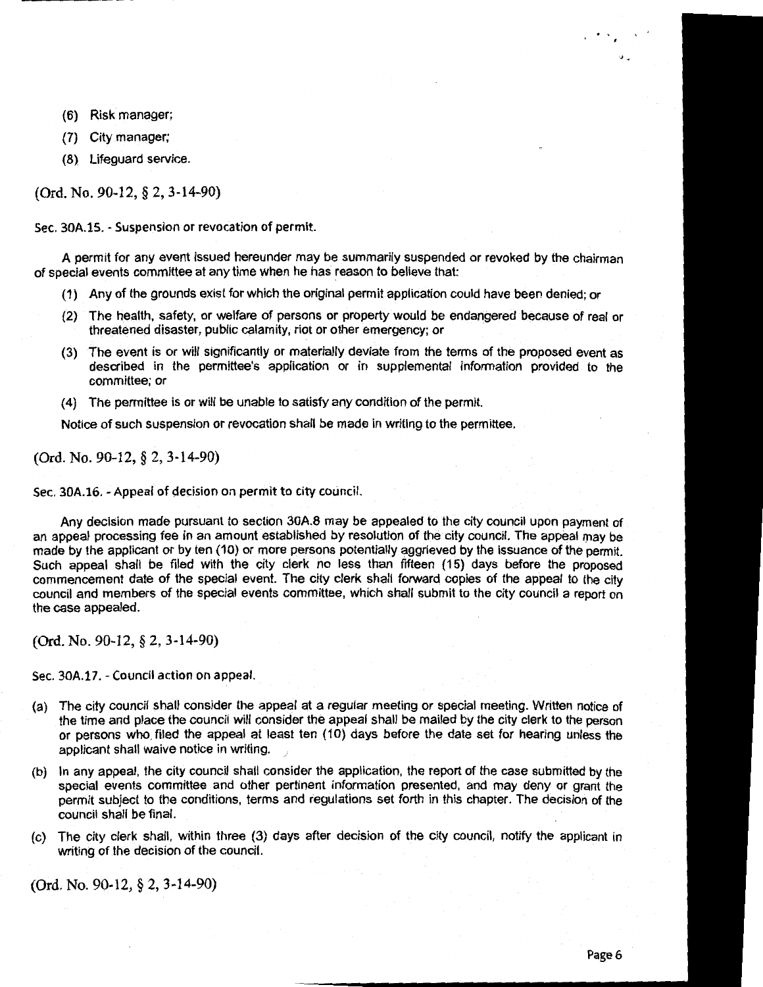- (6) Risk manager;
- (7} City manager;
- (8) Lifeguard service.

(Ord. No. 90-12, § 2, 3-14-90)

Sec. 30A.15. - Suspension or revocation of permit.

........ \_\_\_\_\_\_\_\_ \_\_

A permit for any event issued hereunder may be summarily suspended or revoked by the chairman of special events committee at any time when he has reason to believe that:

- (1) Any of the grounds exist for which the original permit application could have been denied; or
- (2) The health, safety, or welfare of persons or property would be endangered because of real or threatened disaster, public calamity, riot or other emergency; or
- (3) The event is or will significantly or materially deviate from the terms of the proposed event as described in the permittee's application or in supplemental information provided to the committee; or
- (4) The permittee is or will be unable to satisfy any condition of the permit.

Notice of such suspension or revocation shall be made in writing to the permittee.

(Ord. No. 90-12, § 2, 3-14-90)

Sec. 30A.16. - Appeal of decision on permit to city council.

Any decision made pursuant to section 30A.8 may be appealed to the city council upon payment of an appeal processing fee in an amount established by resolution of the city council. The appeal may be made by the applicant or by ten (10) or more persons potentially aggrieved by the issuance of the permit. Such appeal shall be filed with the city clerk no less than fifteen (15) days before the proposed commencement date of the special event. The city clerk shall forward copies of the appeal to the city council and members of the special events committee, which shall submit to the city council a report on the case appealed.

(Ord. No. 90-12, § 2, 3-14-90)

Sec. 30A.17.- Council action on appeal.

- (a) The city council shall consider the appeal at a regular meeting or special meeting. Written notice of the time and place the council will consider the appeal shall be mailed by the city clerk to the person or persons who. filed the appeal at least ten (10) days before the date set for hearing unless the applicant shall waive notice in writing.
- (b) In any appeal, the city council shall consider the application, the report of the case submitted by the special events committee and other pertinent information presented, and may deny or grant the permit subject to the conditions, terms and regulations set forth in this chapter. The decision of the council shall be final.
- (c) The city clerk shall, within three (3) days after decision of the city council, notify the applicant in writing of the decision of the council.

(Ord. No. 90-12, § 2, 3-14-90)

 $\dddot{\phantom{0}}$ .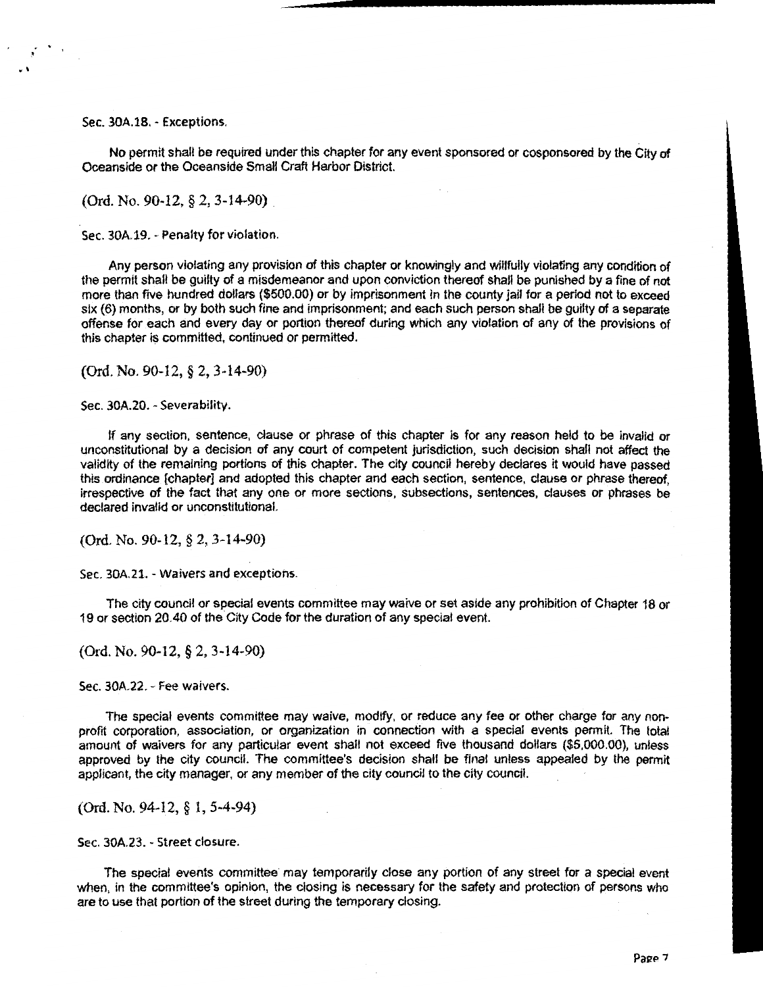Sec. 30A.18.- Exceptions.

No permit shall be required under this chapter for any event sponsored or cosponsored by the City of Oceanside or the Oceanside Small Craft Harbor District.

(Ord. No. 90-12, § 2, 3-14-90)

Sec. 30A.19. - Penalty for violation.

Any person violating any provision of this chapter or knowingly and willfully violating any condition of the permit shall be guilty of a misdemeanor and upon conviction thereof shall be punished by a fine of not more than five hundred dollars (\$500.00) or by imprisonment in the county jail for a period not to exceed six (6) months, or by both such fine and imprisonment; and each such person shall be guilty of a separate offense for each and every day or portion thereof during which any violation of any of the provisions of this chapter is committed, continued or permitted.

(Ord. No. 90-12, § 2, 3-14-90)

Sec. 30A.20. - Severability.

If any section, sentence, clause or phrase of this chapter is for any reason held to be invalid or unconstitutional by a decision of any court of competent jurisdiction, such decision shall not affect the validity of the remaining portions of this chapter. The city council hereby declares it would have passed this ordinance [chapter] and adopted this chapter and each section, sentence, clause or phrase thereof, irrespective of the fact that any one or more sections, subsections, sentences, clauses or phrases be declared invalid or unconstitutional.

(Ord. No. 90-12, § 2, 3-14-90)

Sec. 30A.21. - Waivers and exceptions.

The city council or special events committee may waive or set aside any prohibition of Chapter 18 or 19 or section 20.40 of the City Code for the duration of any special event.

(Ord. No. 90-12, § 2, 3-14-90)

Sec. 30A.22. - Fee waivers.

The special events committee may waive, modify, or reduce any fee or other charge for any nonprofit corporation, association, or organization in connection with a special events permit. The total amount of waivers for any particular event shall not exceed five thousand dollars (\$5,000.00}, unless approved by the city council. The committee's decision shall be final unless appealed by the permit applicant, the city manager, or any member of the city council to the city council.

(Ord. No. 94-12, § 1, 5-4-94)

Sec. 30A.23. - Street closure.

The special events committee may temporarily close any portion of any street for a special event when, in the committee's opinion, the closing is necessary for the safety and protection of persons who are to use that portion of the street during the temporary closing.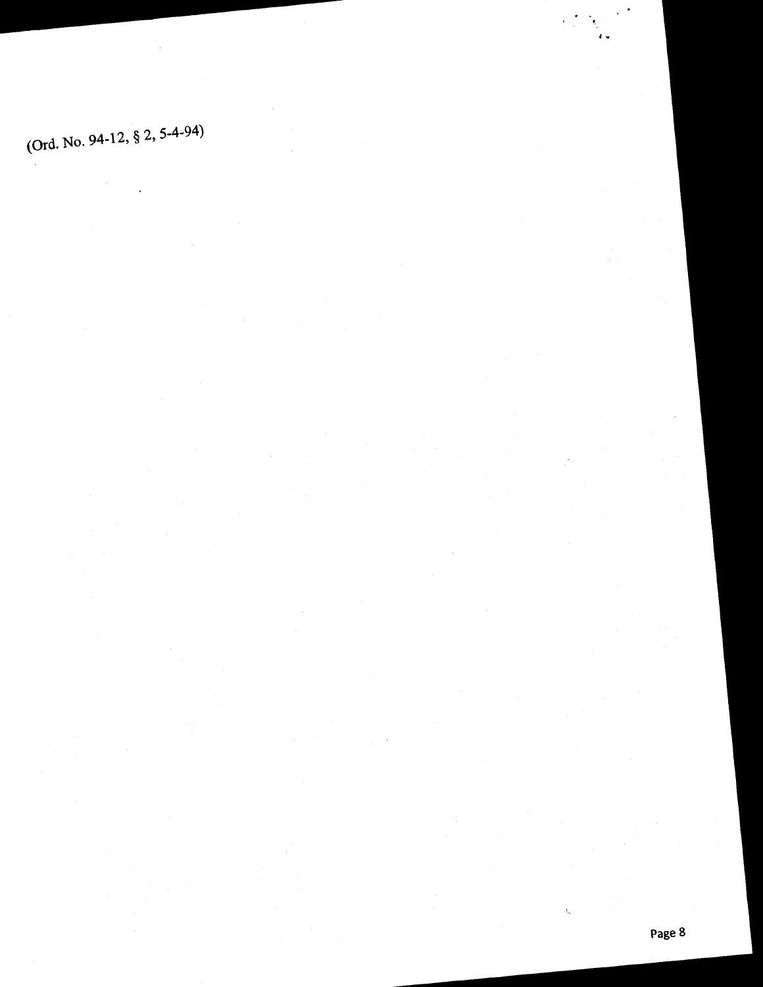(Qrd. No. 94-12, § 2, 5-4-94)

્રી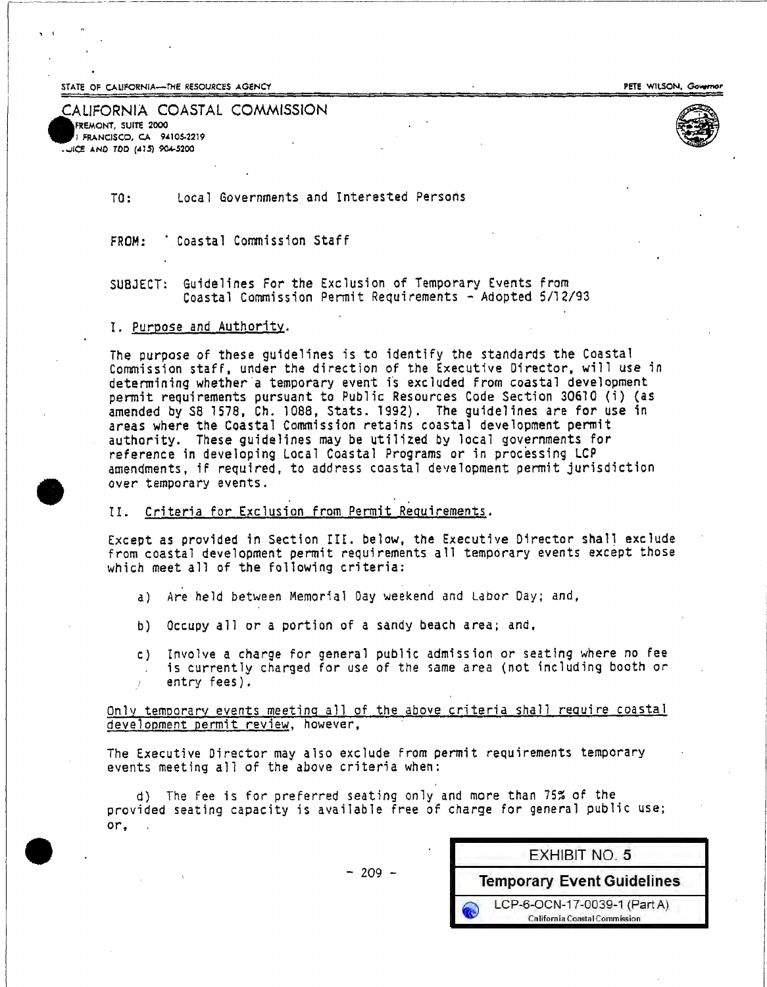STATE OF CALIFORNIA-THE RESOURCES AGENCY

PETE WILSON, Governor

#### CALIFORNIA COASTAL COMMISSION FREMONT, SUITE 2000 FRANCISCO, CA 94105-2219 OCE AND TOD (415) 904-5200



Local Governments and Interested Persons  $TO:$ 

' Coastal Commission Staff FROM:

Guidelines For the Exclusion of Temporary Events from SUBJECT: Coastal Commission Permit Requirements - Adopted 5/12/93

#### I. Purpose and Authority.

The purpose of these guidelines is to identify the standards the Coastal Commission staff, under the direction of the Executive Director, will use in determining whether a temporary event is excluded from coastal development permit requirements pursuant to Public Resources Code Section 30610 (i) (as amended by SB 1578, Ch. 1088. Stats. 1992). The guidelines are for use in areas where the Coastal Commission retains coastal development permit authority. These guidelines may be utilized by local governments for reference in developing Local Coastal Programs or in processing LCP amendments, if required, to address coastal development permit jurisdiction over temporary events.

#### II. Criteria for Exclusion from Permit Requirements.

Except as provided in Section III. below, the Executive Director shall exclude from coastal development permit requirements all temporary events except those which meet all of the following criteria:

- a) Are held between Memorial Day weekend and Labor Day; and,
- b) Occupy all or a portion of a sandy beach area; and,
- c) Involve a charge for general public admission or seating where no fee is currently charged for use of the same area (not including booth or entry fees).

Only temporary events meeting all of the above criteria shall require coastal development permit review, however,

The Executive Director may also exclude from permit requirements temporary events meeting all of the above criteria when:

d) The fee is for preferred seating only and more than 75% of the provided seating capacity is available free of charge for general public use;  $or,$ .

 $-209 -$ 

| <b>EXHIBIT NO. 5</b>                                          |
|---------------------------------------------------------------|
| <b>Temporary Event Guidelines</b>                             |
| LCP-6-OCN-17-0039-1 (Part A)<br>California Coastal Commission |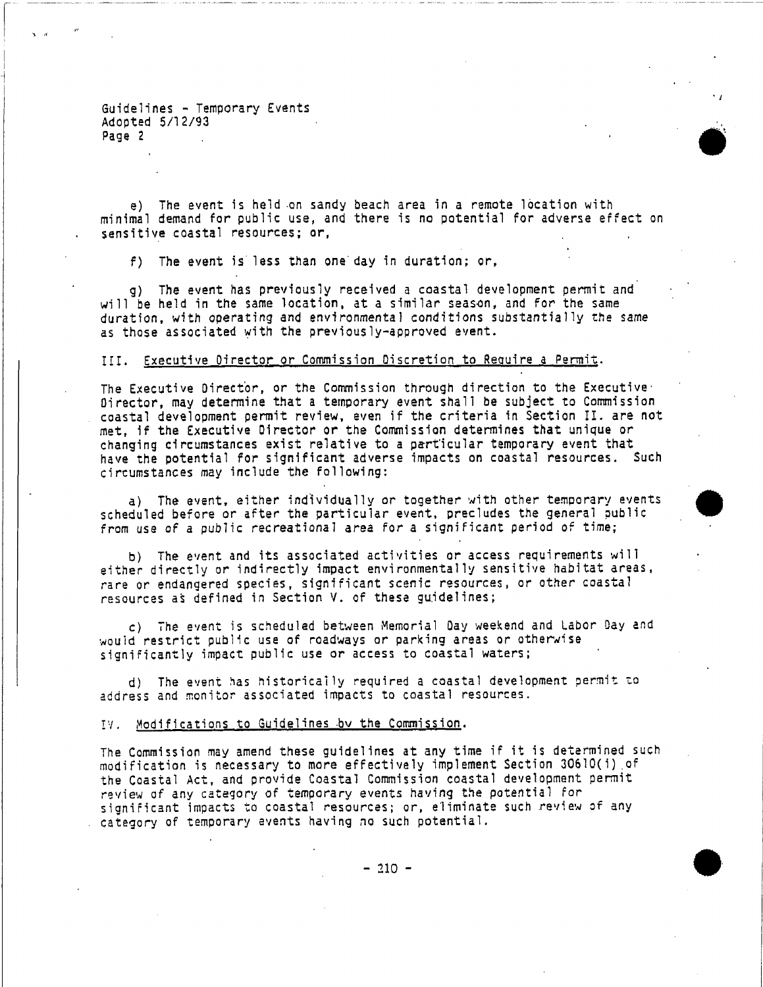Guidelines - Temporary Events Adopted 5/12/93 Page 2

e) The event is held on sandy beach area in a remote location with minimal demand for public use, and there is no potential for adverse effect on sensitive coastal resources; or,

f) The event is less than one day in duration; or,

g) The event has previously received a coastal development permit and will be held in the same location, at a similar season, and for the same duration, with operating and environmental conditions substantially the same as those associated with the previously-approved event.

#### III. Executive Director or Commission Discretion to Require a Permit.

The Executive Director, or the Commission through direction to the Executive Director, may determine that a temporary event shall be subject to Commission coastal development permit review, even if the criteria in Section II. are not met. if the Executive Director or the Commission determines that unique or changing circumstances exist relative to a particular temporary event that have the potential for significant adverse impacts on coastal resources. Such circumstances may include the following:

a) The event, either individually or together with other temporary events scheduled before or after the particular event, precludes the general public from use of a public recreational area for a significant period of time;

b) The event and its associated activities or access requirements will either directly or indirectly impact environmentally sensitive habitat areas, rare or endangered species, significant scenic resources, or other coastal resources as defined in Section V. of these guidelines;

c) The event is scheduled between Memorial Day weekend and Labor Day and would restrict public use of roadways or parking areas or otherwise significantly impact public use or access to coastal waters;

d) The event has historically required a coastal development permit to address and monitor associated impacts to coastal resources.

#### IV. Modifications to Guidelines by the Commission.

The Commission may amend these guidelines at any time if it is determined such modification is necessary to more effectively implement Section 30610(i) of the Coastal Act, and provide Coastal Commission coastal development permit review of any category of temporary events having the potential for significant impacts to coastal resources; or, eliminate such review of any category of temporary events having no such potential.